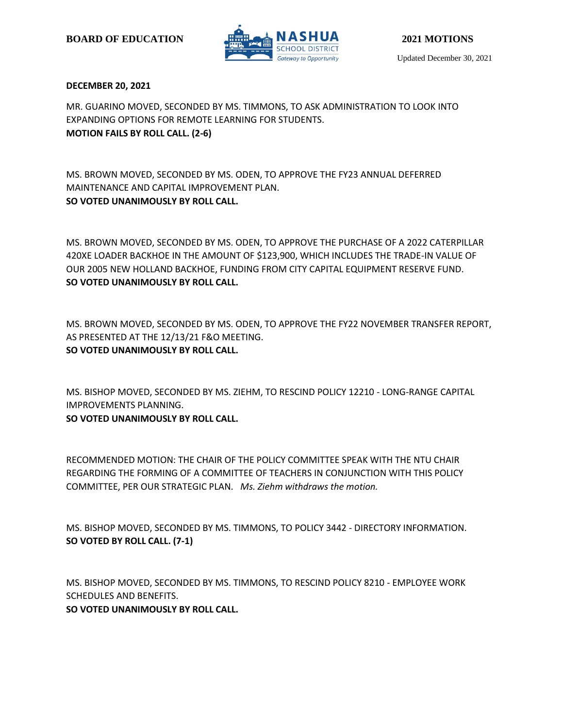

## **DECEMBER 20, 2021**

MR. GUARINO MOVED, SECONDED BY MS. TIMMONS, TO ASK ADMINISTRATION TO LOOK INTO EXPANDING OPTIONS FOR REMOTE LEARNING FOR STUDENTS. **MOTION FAILS BY ROLL CALL. (2-6)**

MS. BROWN MOVED, SECONDED BY MS. ODEN, TO APPROVE THE FY23 ANNUAL DEFERRED MAINTENANCE AND CAPITAL IMPROVEMENT PLAN. **SO VOTED UNANIMOUSLY BY ROLL CALL.**

MS. BROWN MOVED, SECONDED BY MS. ODEN, TO APPROVE THE PURCHASE OF A 2022 CATERPILLAR 420XE LOADER BACKHOE IN THE AMOUNT OF \$123,900, WHICH INCLUDES THE TRADE-IN VALUE OF OUR 2005 NEW HOLLAND BACKHOE, FUNDING FROM CITY CAPITAL EQUIPMENT RESERVE FUND. **SO VOTED UNANIMOUSLY BY ROLL CALL.**

MS. BROWN MOVED, SECONDED BY MS. ODEN, TO APPROVE THE FY22 NOVEMBER TRANSFER REPORT, AS PRESENTED AT THE 12/13/21 F&O MEETING. **SO VOTED UNANIMOUSLY BY ROLL CALL.**

MS. BISHOP MOVED, SECONDED BY MS. ZIEHM, TO RESCIND POLICY 12210 - LONG-RANGE CAPITAL IMPROVEMENTS PLANNING.

**SO VOTED UNANIMOUSLY BY ROLL CALL.**

RECOMMENDED MOTION: THE CHAIR OF THE POLICY COMMITTEE SPEAK WITH THE NTU CHAIR REGARDING THE FORMING OF A COMMITTEE OF TEACHERS IN CONJUNCTION WITH THIS POLICY COMMITTEE, PER OUR STRATEGIC PLAN. *Ms. Ziehm withdraws the motion.*

MS. BISHOP MOVED, SECONDED BY MS. TIMMONS, TO POLICY 3442 - DIRECTORY INFORMATION. **SO VOTED BY ROLL CALL. (7-1)**

MS. BISHOP MOVED, SECONDED BY MS. TIMMONS, TO RESCIND POLICY 8210 - EMPLOYEE WORK SCHEDULES AND BENEFITS. **SO VOTED UNANIMOUSLY BY ROLL CALL.**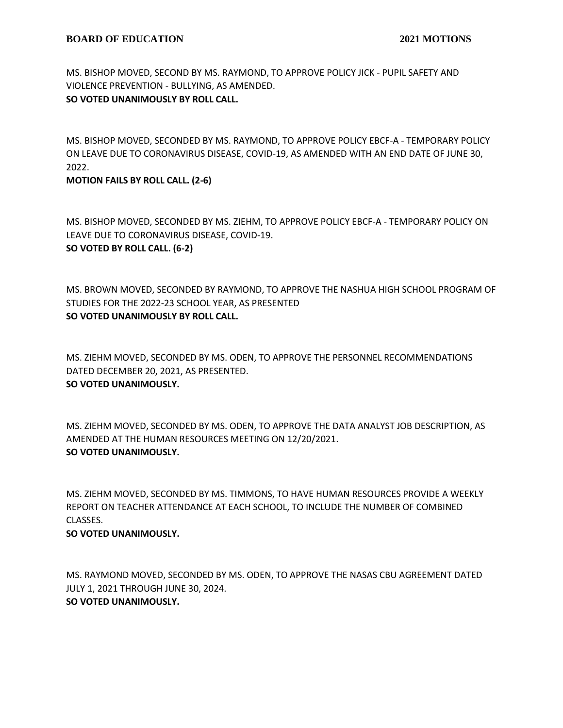MS. BISHOP MOVED, SECOND BY MS. RAYMOND, TO APPROVE POLICY JICK - PUPIL SAFETY AND VIOLENCE PREVENTION - BULLYING, AS AMENDED. **SO VOTED UNANIMOUSLY BY ROLL CALL.**

MS. BISHOP MOVED, SECONDED BY MS. RAYMOND, TO APPROVE POLICY EBCF-A - TEMPORARY POLICY ON LEAVE DUE TO CORONAVIRUS DISEASE, COVID-19, AS AMENDED WITH AN END DATE OF JUNE 30, 2022.

## **MOTION FAILS BY ROLL CALL. (2-6)**

MS. BISHOP MOVED, SECONDED BY MS. ZIEHM, TO APPROVE POLICY EBCF-A - TEMPORARY POLICY ON LEAVE DUE TO CORONAVIRUS DISEASE, COVID-19. **SO VOTED BY ROLL CALL. (6-2)**

MS. BROWN MOVED, SECONDED BY RAYMOND, TO APPROVE THE NASHUA HIGH SCHOOL PROGRAM OF STUDIES FOR THE 2022-23 SCHOOL YEAR, AS PRESENTED **SO VOTED UNANIMOUSLY BY ROLL CALL.**

MS. ZIEHM MOVED, SECONDED BY MS. ODEN, TO APPROVE THE PERSONNEL RECOMMENDATIONS DATED DECEMBER 20, 2021, AS PRESENTED. **SO VOTED UNANIMOUSLY.**

MS. ZIEHM MOVED, SECONDED BY MS. ODEN, TO APPROVE THE DATA ANALYST JOB DESCRIPTION, AS AMENDED AT THE HUMAN RESOURCES MEETING ON 12/20/2021. **SO VOTED UNANIMOUSLY.**

MS. ZIEHM MOVED, SECONDED BY MS. TIMMONS, TO HAVE HUMAN RESOURCES PROVIDE A WEEKLY REPORT ON TEACHER ATTENDANCE AT EACH SCHOOL, TO INCLUDE THE NUMBER OF COMBINED CLASSES.

### **SO VOTED UNANIMOUSLY.**

MS. RAYMOND MOVED, SECONDED BY MS. ODEN, TO APPROVE THE NASAS CBU AGREEMENT DATED JULY 1, 2021 THROUGH JUNE 30, 2024. **SO VOTED UNANIMOUSLY.**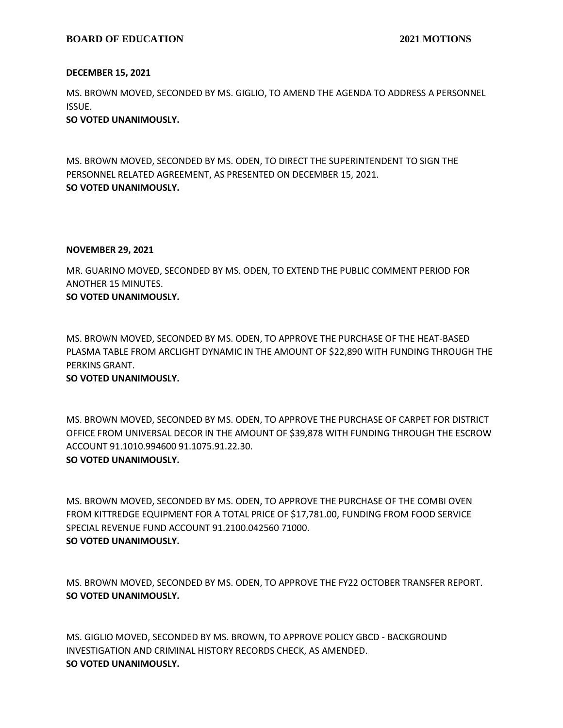## **BOARD OF EDUCATION** 2021 MOTIONS

## **DECEMBER 15, 2021**

MS. BROWN MOVED, SECONDED BY MS. GIGLIO, TO AMEND THE AGENDA TO ADDRESS A PERSONNEL ISSUE.

## **SO VOTED UNANIMOUSLY.**

MS. BROWN MOVED, SECONDED BY MS. ODEN, TO DIRECT THE SUPERINTENDENT TO SIGN THE PERSONNEL RELATED AGREEMENT, AS PRESENTED ON DECEMBER 15, 2021. **SO VOTED UNANIMOUSLY.**

## **NOVEMBER 29, 2021**

MR. GUARINO MOVED, SECONDED BY MS. ODEN, TO EXTEND THE PUBLIC COMMENT PERIOD FOR ANOTHER 15 MINUTES.

# **SO VOTED UNANIMOUSLY.**

MS. BROWN MOVED, SECONDED BY MS. ODEN, TO APPROVE THE PURCHASE OF THE HEAT-BASED PLASMA TABLE FROM ARCLIGHT DYNAMIC IN THE AMOUNT OF \$22,890 WITH FUNDING THROUGH THE PERKINS GRANT.

# **SO VOTED UNANIMOUSLY.**

MS. BROWN MOVED, SECONDED BY MS. ODEN, TO APPROVE THE PURCHASE OF CARPET FOR DISTRICT OFFICE FROM UNIVERSAL DECOR IN THE AMOUNT OF \$39,878 WITH FUNDING THROUGH THE ESCROW ACCOUNT 91.1010.994600 91.1075.91.22.30.

# **SO VOTED UNANIMOUSLY.**

MS. BROWN MOVED, SECONDED BY MS. ODEN, TO APPROVE THE PURCHASE OF THE COMBI OVEN FROM KITTREDGE EQUIPMENT FOR A TOTAL PRICE OF \$17,781.00, FUNDING FROM FOOD SERVICE SPECIAL REVENUE FUND ACCOUNT 91.2100.042560 71000. **SO VOTED UNANIMOUSLY.**

MS. BROWN MOVED, SECONDED BY MS. ODEN, TO APPROVE THE FY22 OCTOBER TRANSFER REPORT. **SO VOTED UNANIMOUSLY.**

MS. GIGLIO MOVED, SECONDED BY MS. BROWN, TO APPROVE POLICY GBCD - BACKGROUND INVESTIGATION AND CRIMINAL HISTORY RECORDS CHECK, AS AMENDED. **SO VOTED UNANIMOUSLY.**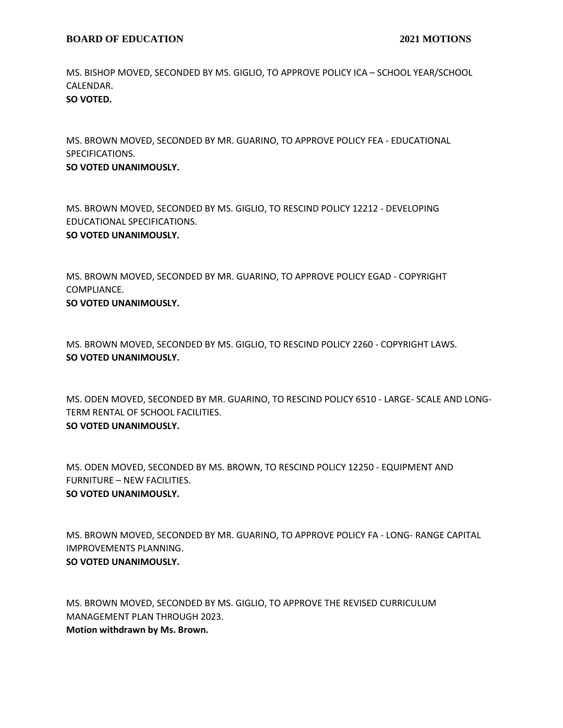MS. BISHOP MOVED, SECONDED BY MS. GIGLIO, TO APPROVE POLICY ICA – SCHOOL YEAR/SCHOOL CALENDAR. **SO VOTED.**

MS. BROWN MOVED, SECONDED BY MR. GUARINO, TO APPROVE POLICY FEA - EDUCATIONAL SPECIFICATIONS.

## **SO VOTED UNANIMOUSLY.**

MS. BROWN MOVED, SECONDED BY MS. GIGLIO, TO RESCIND POLICY 12212 - DEVELOPING EDUCATIONAL SPECIFICATIONS.

## **SO VOTED UNANIMOUSLY.**

MS. BROWN MOVED, SECONDED BY MR. GUARINO, TO APPROVE POLICY EGAD - COPYRIGHT COMPLIANCE.

## **SO VOTED UNANIMOUSLY.**

MS. BROWN MOVED, SECONDED BY MS. GIGLIO, TO RESCIND POLICY 2260 - COPYRIGHT LAWS. **SO VOTED UNANIMOUSLY.**

MS. ODEN MOVED, SECONDED BY MR. GUARINO, TO RESCIND POLICY 6510 - LARGE- SCALE AND LONG-TERM RENTAL OF SCHOOL FACILITIES. **SO VOTED UNANIMOUSLY.**

MS. ODEN MOVED, SECONDED BY MS. BROWN, TO RESCIND POLICY 12250 - EQUIPMENT AND FURNITURE – NEW FACILITIES. **SO VOTED UNANIMOUSLY.**

MS. BROWN MOVED, SECONDED BY MR. GUARINO, TO APPROVE POLICY FA - LONG- RANGE CAPITAL IMPROVEMENTS PLANNING. **SO VOTED UNANIMOUSLY.**

MS. BROWN MOVED, SECONDED BY MS. GIGLIO, TO APPROVE THE REVISED CURRICULUM MANAGEMENT PLAN THROUGH 2023. **Motion withdrawn by Ms. Brown.**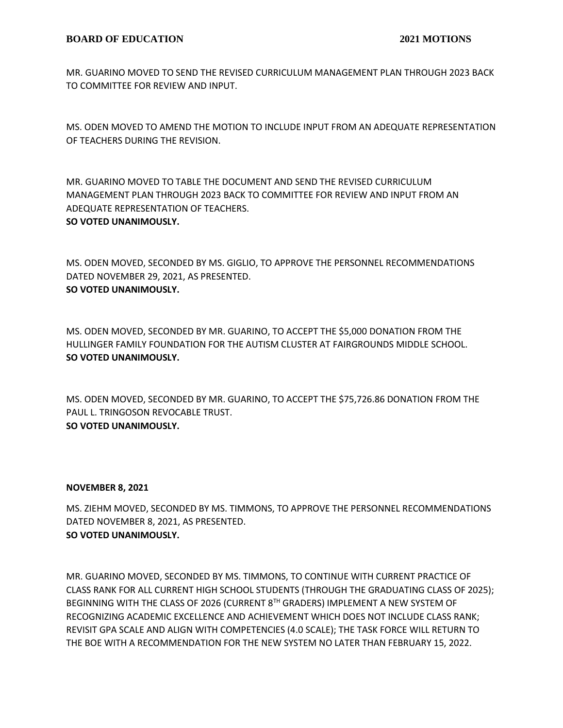MR. GUARINO MOVED TO SEND THE REVISED CURRICULUM MANAGEMENT PLAN THROUGH 2023 BACK TO COMMITTEE FOR REVIEW AND INPUT.

MS. ODEN MOVED TO AMEND THE MOTION TO INCLUDE INPUT FROM AN ADEQUATE REPRESENTATION OF TEACHERS DURING THE REVISION.

MR. GUARINO MOVED TO TABLE THE DOCUMENT AND SEND THE REVISED CURRICULUM MANAGEMENT PLAN THROUGH 2023 BACK TO COMMITTEE FOR REVIEW AND INPUT FROM AN ADEQUATE REPRESENTATION OF TEACHERS. **SO VOTED UNANIMOUSLY.**

MS. ODEN MOVED, SECONDED BY MS. GIGLIO, TO APPROVE THE PERSONNEL RECOMMENDATIONS DATED NOVEMBER 29, 2021, AS PRESENTED. **SO VOTED UNANIMOUSLY.**

MS. ODEN MOVED, SECONDED BY MR. GUARINO, TO ACCEPT THE \$5,000 DONATION FROM THE HULLINGER FAMILY FOUNDATION FOR THE AUTISM CLUSTER AT FAIRGROUNDS MIDDLE SCHOOL. **SO VOTED UNANIMOUSLY.**

MS. ODEN MOVED, SECONDED BY MR. GUARINO, TO ACCEPT THE \$75,726.86 DONATION FROM THE PAUL L. TRINGOSON REVOCABLE TRUST. **SO VOTED UNANIMOUSLY.**

### **NOVEMBER 8, 2021**

MS. ZIEHM MOVED, SECONDED BY MS. TIMMONS, TO APPROVE THE PERSONNEL RECOMMENDATIONS DATED NOVEMBER 8, 2021, AS PRESENTED. **SO VOTED UNANIMOUSLY.**

MR. GUARINO MOVED, SECONDED BY MS. TIMMONS, TO CONTINUE WITH CURRENT PRACTICE OF CLASS RANK FOR ALL CURRENT HIGH SCHOOL STUDENTS (THROUGH THE GRADUATING CLASS OF 2025); BEGINNING WITH THE CLASS OF 2026 (CURRENT 8TH GRADERS) IMPLEMENT A NEW SYSTEM OF RECOGNIZING ACADEMIC EXCELLENCE AND ACHIEVEMENT WHICH DOES NOT INCLUDE CLASS RANK; REVISIT GPA SCALE AND ALIGN WITH COMPETENCIES (4.0 SCALE); THE TASK FORCE WILL RETURN TO THE BOE WITH A RECOMMENDATION FOR THE NEW SYSTEM NO LATER THAN FEBRUARY 15, 2022.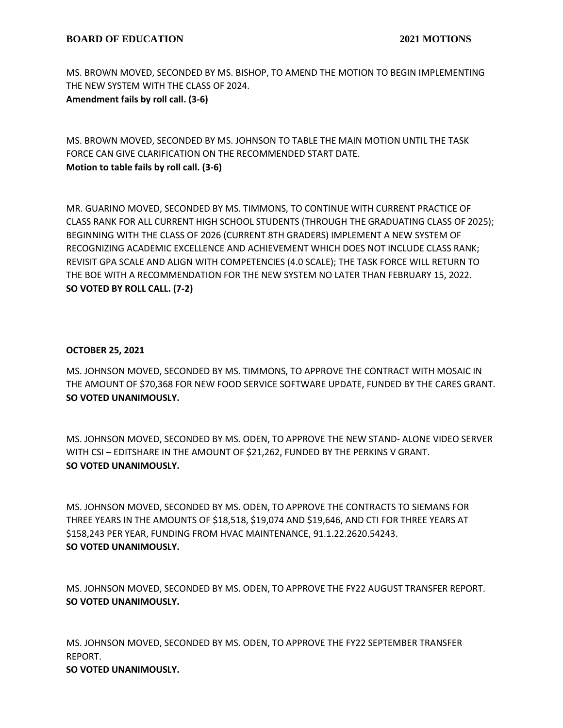MS. BROWN MOVED, SECONDED BY MS. BISHOP, TO AMEND THE MOTION TO BEGIN IMPLEMENTING THE NEW SYSTEM WITH THE CLASS OF 2024. **Amendment fails by roll call. (3-6)**

MS. BROWN MOVED, SECONDED BY MS. JOHNSON TO TABLE THE MAIN MOTION UNTIL THE TASK FORCE CAN GIVE CLARIFICATION ON THE RECOMMENDED START DATE. **Motion to table fails by roll call. (3-6)**

MR. GUARINO MOVED, SECONDED BY MS. TIMMONS, TO CONTINUE WITH CURRENT PRACTICE OF CLASS RANK FOR ALL CURRENT HIGH SCHOOL STUDENTS (THROUGH THE GRADUATING CLASS OF 2025); BEGINNING WITH THE CLASS OF 2026 (CURRENT 8TH GRADERS) IMPLEMENT A NEW SYSTEM OF RECOGNIZING ACADEMIC EXCELLENCE AND ACHIEVEMENT WHICH DOES NOT INCLUDE CLASS RANK; REVISIT GPA SCALE AND ALIGN WITH COMPETENCIES (4.0 SCALE); THE TASK FORCE WILL RETURN TO THE BOE WITH A RECOMMENDATION FOR THE NEW SYSTEM NO LATER THAN FEBRUARY 15, 2022. **SO VOTED BY ROLL CALL. (7-2)**

# **OCTOBER 25, 2021**

MS. JOHNSON MOVED, SECONDED BY MS. TIMMONS, TO APPROVE THE CONTRACT WITH MOSAIC IN THE AMOUNT OF \$70,368 FOR NEW FOOD SERVICE SOFTWARE UPDATE, FUNDED BY THE CARES GRANT. **SO VOTED UNANIMOUSLY.**

MS. JOHNSON MOVED, SECONDED BY MS. ODEN, TO APPROVE THE NEW STAND- ALONE VIDEO SERVER WITH CSI – EDITSHARE IN THE AMOUNT OF \$21,262, FUNDED BY THE PERKINS V GRANT. **SO VOTED UNANIMOUSLY.**

MS. JOHNSON MOVED, SECONDED BY MS. ODEN, TO APPROVE THE CONTRACTS TO SIEMANS FOR THREE YEARS IN THE AMOUNTS OF \$18,518, \$19,074 AND \$19,646, AND CTI FOR THREE YEARS AT \$158,243 PER YEAR, FUNDING FROM HVAC MAINTENANCE, 91.1.22.2620.54243. **SO VOTED UNANIMOUSLY.**

MS. JOHNSON MOVED, SECONDED BY MS. ODEN, TO APPROVE THE FY22 AUGUST TRANSFER REPORT. **SO VOTED UNANIMOUSLY.**

MS. JOHNSON MOVED, SECONDED BY MS. ODEN, TO APPROVE THE FY22 SEPTEMBER TRANSFER REPORT.

**SO VOTED UNANIMOUSLY.**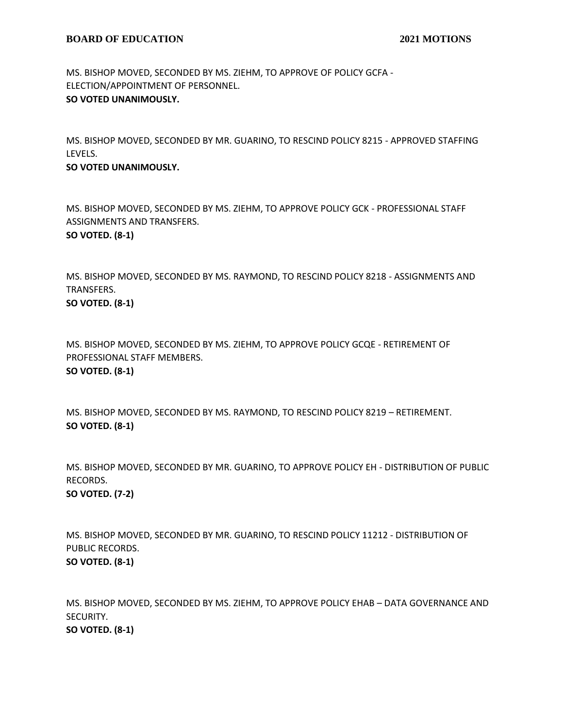MS. BISHOP MOVED, SECONDED BY MS. ZIEHM, TO APPROVE OF POLICY GCFA - ELECTION/APPOINTMENT OF PERSONNEL. **SO VOTED UNANIMOUSLY.**

MS. BISHOP MOVED, SECONDED BY MR. GUARINO, TO RESCIND POLICY 8215 - APPROVED STAFFING LEVELS.

## **SO VOTED UNANIMOUSLY.**

MS. BISHOP MOVED, SECONDED BY MS. ZIEHM, TO APPROVE POLICY GCK - PROFESSIONAL STAFF ASSIGNMENTS AND TRANSFERS. **SO VOTED. (8-1)**

MS. BISHOP MOVED, SECONDED BY MS. RAYMOND, TO RESCIND POLICY 8218 - ASSIGNMENTS AND TRANSFERS.

**SO VOTED. (8-1)**

MS. BISHOP MOVED, SECONDED BY MS. ZIEHM, TO APPROVE POLICY GCQE - RETIREMENT OF PROFESSIONAL STAFF MEMBERS. **SO VOTED. (8-1)**

MS. BISHOP MOVED, SECONDED BY MS. RAYMOND, TO RESCIND POLICY 8219 – RETIREMENT. **SO VOTED. (8-1)**

MS. BISHOP MOVED, SECONDED BY MR. GUARINO, TO APPROVE POLICY EH - DISTRIBUTION OF PUBLIC RECORDS. **SO VOTED. (7-2)**

MS. BISHOP MOVED, SECONDED BY MR. GUARINO, TO RESCIND POLICY 11212 - DISTRIBUTION OF PUBLIC RECORDS. **SO VOTED. (8-1)**

MS. BISHOP MOVED, SECONDED BY MS. ZIEHM, TO APPROVE POLICY EHAB – DATA GOVERNANCE AND SECURITY. **SO VOTED. (8-1)**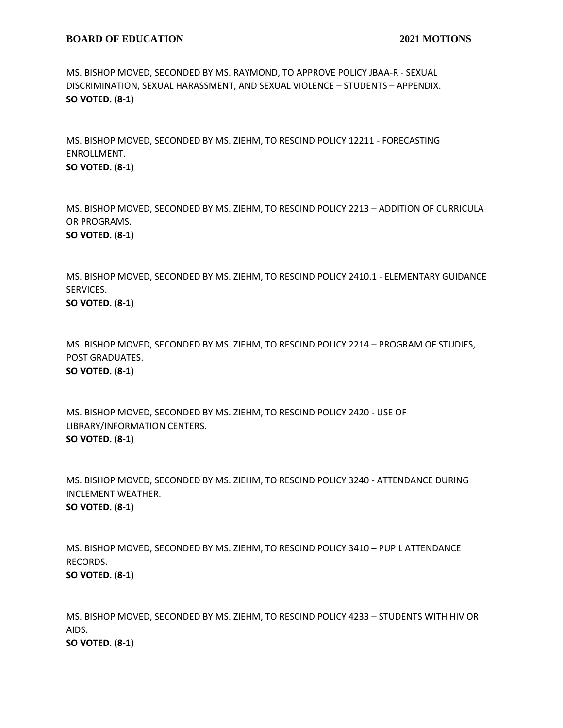MS. BISHOP MOVED, SECONDED BY MS. RAYMOND, TO APPROVE POLICY JBAA-R - SEXUAL DISCRIMINATION, SEXUAL HARASSMENT, AND SEXUAL VIOLENCE – STUDENTS – APPENDIX. **SO VOTED. (8-1)**

MS. BISHOP MOVED, SECONDED BY MS. ZIEHM, TO RESCIND POLICY 12211 - FORECASTING ENROLLMENT. **SO VOTED. (8-1)**

MS. BISHOP MOVED, SECONDED BY MS. ZIEHM, TO RESCIND POLICY 2213 – ADDITION OF CURRICULA OR PROGRAMS.

**SO VOTED. (8-1)**

MS. BISHOP MOVED, SECONDED BY MS. ZIEHM, TO RESCIND POLICY 2410.1 - ELEMENTARY GUIDANCE SERVICES.

**SO VOTED. (8-1)**

MS. BISHOP MOVED, SECONDED BY MS. ZIEHM, TO RESCIND POLICY 2214 – PROGRAM OF STUDIES, POST GRADUATES. **SO VOTED. (8-1)**

MS. BISHOP MOVED, SECONDED BY MS. ZIEHM, TO RESCIND POLICY 2420 - USE OF LIBRARY/INFORMATION CENTERS. **SO VOTED. (8-1)**

MS. BISHOP MOVED, SECONDED BY MS. ZIEHM, TO RESCIND POLICY 3240 - ATTENDANCE DURING INCLEMENT WEATHER. **SO VOTED. (8-1)**

MS. BISHOP MOVED, SECONDED BY MS. ZIEHM, TO RESCIND POLICY 3410 – PUPIL ATTENDANCE RECORDS. **SO VOTED. (8-1)**

MS. BISHOP MOVED, SECONDED BY MS. ZIEHM, TO RESCIND POLICY 4233 – STUDENTS WITH HIV OR AIDS. **SO VOTED. (8-1)**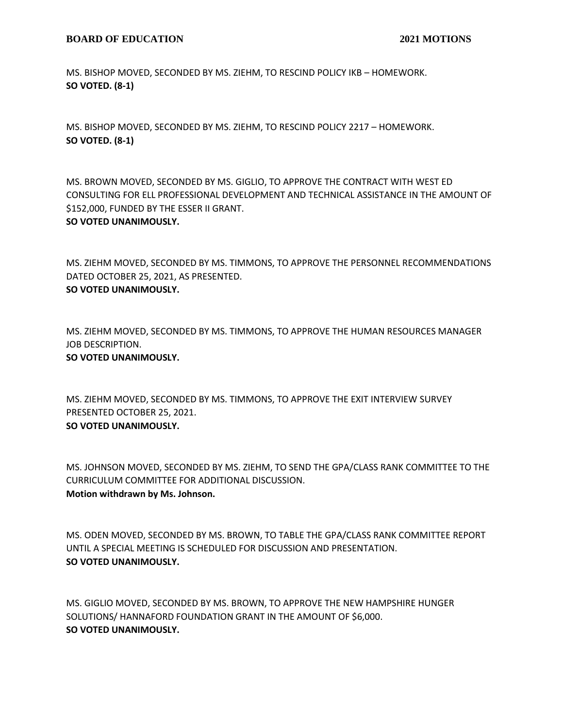### **BOARD OF EDUCATION** 2021 MOTIONS

MS. BISHOP MOVED, SECONDED BY MS. ZIEHM, TO RESCIND POLICY IKB – HOMEWORK. **SO VOTED. (8-1)**

MS. BISHOP MOVED, SECONDED BY MS. ZIEHM, TO RESCIND POLICY 2217 – HOMEWORK. **SO VOTED. (8-1)**

MS. BROWN MOVED, SECONDED BY MS. GIGLIO, TO APPROVE THE CONTRACT WITH WEST ED CONSULTING FOR ELL PROFESSIONAL DEVELOPMENT AND TECHNICAL ASSISTANCE IN THE AMOUNT OF \$152,000, FUNDED BY THE ESSER II GRANT. **SO VOTED UNANIMOUSLY.**

MS. ZIEHM MOVED, SECONDED BY MS. TIMMONS, TO APPROVE THE PERSONNEL RECOMMENDATIONS DATED OCTOBER 25, 2021, AS PRESENTED. **SO VOTED UNANIMOUSLY.**

MS. ZIEHM MOVED, SECONDED BY MS. TIMMONS, TO APPROVE THE HUMAN RESOURCES MANAGER JOB DESCRIPTION.

**SO VOTED UNANIMOUSLY.**

MS. ZIEHM MOVED, SECONDED BY MS. TIMMONS, TO APPROVE THE EXIT INTERVIEW SURVEY PRESENTED OCTOBER 25, 2021. **SO VOTED UNANIMOUSLY.**

MS. JOHNSON MOVED, SECONDED BY MS. ZIEHM, TO SEND THE GPA/CLASS RANK COMMITTEE TO THE CURRICULUM COMMITTEE FOR ADDITIONAL DISCUSSION. **Motion withdrawn by Ms. Johnson.**

MS. ODEN MOVED, SECONDED BY MS. BROWN, TO TABLE THE GPA/CLASS RANK COMMITTEE REPORT UNTIL A SPECIAL MEETING IS SCHEDULED FOR DISCUSSION AND PRESENTATION. **SO VOTED UNANIMOUSLY.**

MS. GIGLIO MOVED, SECONDED BY MS. BROWN, TO APPROVE THE NEW HAMPSHIRE HUNGER SOLUTIONS/ HANNAFORD FOUNDATION GRANT IN THE AMOUNT OF \$6,000. **SO VOTED UNANIMOUSLY.**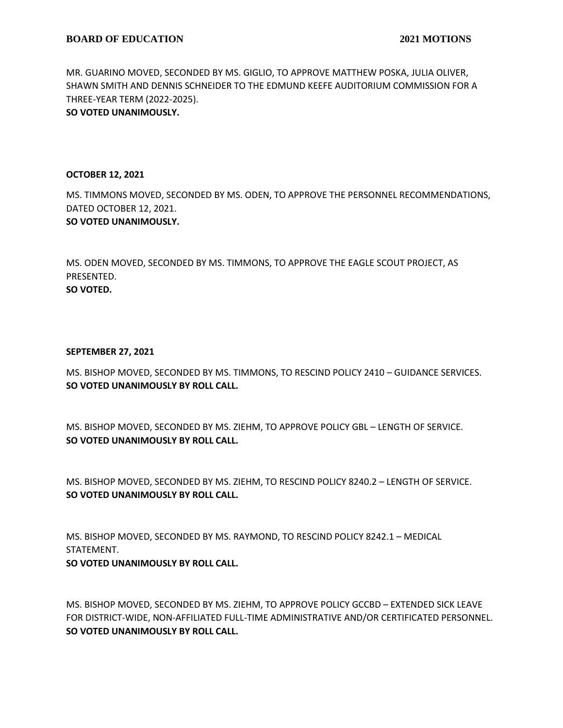MR. GUARINO MOVED, SECONDED BY MS. GIGLIO, TO APPROVE MATTHEW POSKA, JULIA OLIVER, SHAWN SMITH AND DENNIS SCHNEIDER TO THE EDMUND KEEFE AUDITORIUM COMMISSION FOR A THREE-YEAR TERM (2022-2025).

**SO VOTED UNANIMOUSLY.**

### **OCTOBER 12, 2021**

MS. TIMMONS MOVED, SECONDED BY MS. ODEN, TO APPROVE THE PERSONNEL RECOMMENDATIONS, DATED OCTOBER 12, 2021. **SO VOTED UNANIMOUSLY.**

MS. ODEN MOVED, SECONDED BY MS. TIMMONS, TO APPROVE THE EAGLE SCOUT PROJECT, AS PRESENTED. **SO VOTED.**

### **SEPTEMBER 27, 2021**

MS. BISHOP MOVED, SECONDED BY MS. TIMMONS, TO RESCIND POLICY 2410 – GUIDANCE SERVICES. **SO VOTED UNANIMOUSLY BY ROLL CALL.**

MS. BISHOP MOVED, SECONDED BY MS. ZIEHM, TO APPROVE POLICY GBL – LENGTH OF SERVICE. **SO VOTED UNANIMOUSLY BY ROLL CALL.**

MS. BISHOP MOVED, SECONDED BY MS. ZIEHM, TO RESCIND POLICY 8240.2 – LENGTH OF SERVICE. **SO VOTED UNANIMOUSLY BY ROLL CALL.**

MS. BISHOP MOVED, SECONDED BY MS. RAYMOND, TO RESCIND POLICY 8242.1 – MEDICAL STATEMENT.

**SO VOTED UNANIMOUSLY BY ROLL CALL.**

MS. BISHOP MOVED, SECONDED BY MS. ZIEHM, TO APPROVE POLICY GCCBD – EXTENDED SICK LEAVE FOR DISTRICT-WIDE, NON-AFFILIATED FULL-TIME ADMINISTRATIVE AND/OR CERTIFICATED PERSONNEL. **SO VOTED UNANIMOUSLY BY ROLL CALL.**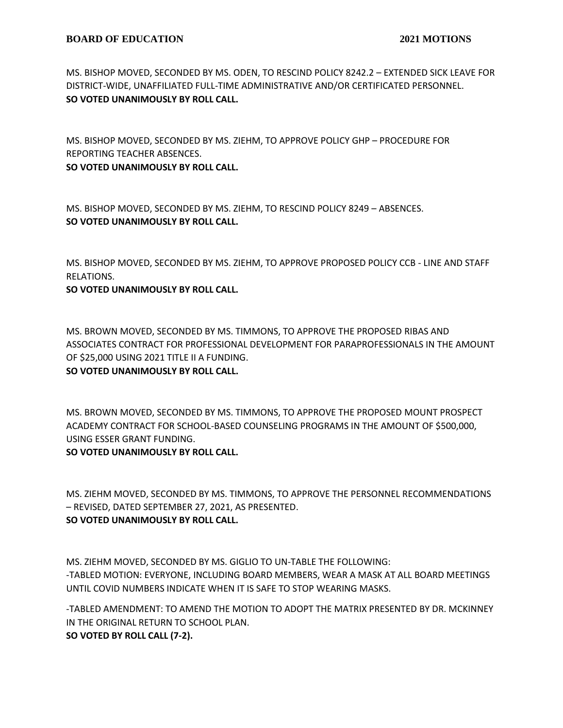MS. BISHOP MOVED, SECONDED BY MS. ODEN, TO RESCIND POLICY 8242.2 – EXTENDED SICK LEAVE FOR DISTRICT-WIDE, UNAFFILIATED FULL-TIME ADMINISTRATIVE AND/OR CERTIFICATED PERSONNEL. **SO VOTED UNANIMOUSLY BY ROLL CALL.**

MS. BISHOP MOVED, SECONDED BY MS. ZIEHM, TO APPROVE POLICY GHP – PROCEDURE FOR REPORTING TEACHER ABSENCES.

**SO VOTED UNANIMOUSLY BY ROLL CALL.**

MS. BISHOP MOVED, SECONDED BY MS. ZIEHM, TO RESCIND POLICY 8249 – ABSENCES. **SO VOTED UNANIMOUSLY BY ROLL CALL.**

MS. BISHOP MOVED, SECONDED BY MS. ZIEHM, TO APPROVE PROPOSED POLICY CCB - LINE AND STAFF RELATIONS.

**SO VOTED UNANIMOUSLY BY ROLL CALL.**

MS. BROWN MOVED, SECONDED BY MS. TIMMONS, TO APPROVE THE PROPOSED RIBAS AND ASSOCIATES CONTRACT FOR PROFESSIONAL DEVELOPMENT FOR PARAPROFESSIONALS IN THE AMOUNT OF \$25,000 USING 2021 TITLE II A FUNDING.

# **SO VOTED UNANIMOUSLY BY ROLL CALL.**

MS. BROWN MOVED, SECONDED BY MS. TIMMONS, TO APPROVE THE PROPOSED MOUNT PROSPECT ACADEMY CONTRACT FOR SCHOOL-BASED COUNSELING PROGRAMS IN THE AMOUNT OF \$500,000, USING ESSER GRANT FUNDING.

# **SO VOTED UNANIMOUSLY BY ROLL CALL.**

MS. ZIEHM MOVED, SECONDED BY MS. TIMMONS, TO APPROVE THE PERSONNEL RECOMMENDATIONS – REVISED, DATED SEPTEMBER 27, 2021, AS PRESENTED.

# **SO VOTED UNANIMOUSLY BY ROLL CALL.**

MS. ZIEHM MOVED, SECONDED BY MS. GIGLIO TO UN-TABLE THE FOLLOWING: -TABLED MOTION: EVERYONE, INCLUDING BOARD MEMBERS, WEAR A MASK AT ALL BOARD MEETINGS UNTIL COVID NUMBERS INDICATE WHEN IT IS SAFE TO STOP WEARING MASKS.

-TABLED AMENDMENT: TO AMEND THE MOTION TO ADOPT THE MATRIX PRESENTED BY DR. MCKINNEY IN THE ORIGINAL RETURN TO SCHOOL PLAN. **SO VOTED BY ROLL CALL (7-2).**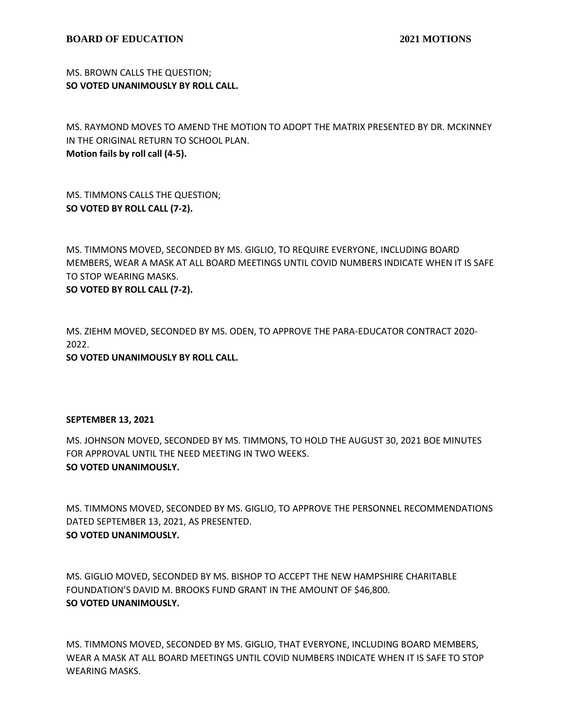MS. BROWN CALLS THE QUESTION; **SO VOTED UNANIMOUSLY BY ROLL CALL.**

MS. RAYMOND MOVES TO AMEND THE MOTION TO ADOPT THE MATRIX PRESENTED BY DR. MCKINNEY IN THE ORIGINAL RETURN TO SCHOOL PLAN. **Motion fails by roll call (4-5).**

MS. TIMMONS CALLS THE QUESTION; **SO VOTED BY ROLL CALL (7-2).**

MS. TIMMONS MOVED, SECONDED BY MS. GIGLIO, TO REQUIRE EVERYONE, INCLUDING BOARD MEMBERS, WEAR A MASK AT ALL BOARD MEETINGS UNTIL COVID NUMBERS INDICATE WHEN IT IS SAFE TO STOP WEARING MASKS.

**SO VOTED BY ROLL CALL (7-2).**

MS. ZIEHM MOVED, SECONDED BY MS. ODEN, TO APPROVE THE PARA-EDUCATOR CONTRACT 2020- 2022.

**SO VOTED UNANIMOUSLY BY ROLL CALL.**

#### **SEPTEMBER 13, 2021**

MS. JOHNSON MOVED, SECONDED BY MS. TIMMONS, TO HOLD THE AUGUST 30, 2021 BOE MINUTES FOR APPROVAL UNTIL THE NEED MEETING IN TWO WEEKS. **SO VOTED UNANIMOUSLY.**

MS. TIMMONS MOVED, SECONDED BY MS. GIGLIO, TO APPROVE THE PERSONNEL RECOMMENDATIONS DATED SEPTEMBER 13, 2021, AS PRESENTED. **SO VOTED UNANIMOUSLY.**

MS. GIGLIO MOVED, SECONDED BY MS. BISHOP TO ACCEPT THE NEW HAMPSHIRE CHARITABLE FOUNDATION'S DAVID M. BROOKS FUND GRANT IN THE AMOUNT OF \$46,800. **SO VOTED UNANIMOUSLY.**

MS. TIMMONS MOVED, SECONDED BY MS. GIGLIO, THAT EVERYONE, INCLUDING BOARD MEMBERS, WEAR A MASK AT ALL BOARD MEETINGS UNTIL COVID NUMBERS INDICATE WHEN IT IS SAFE TO STOP WEARING MASKS.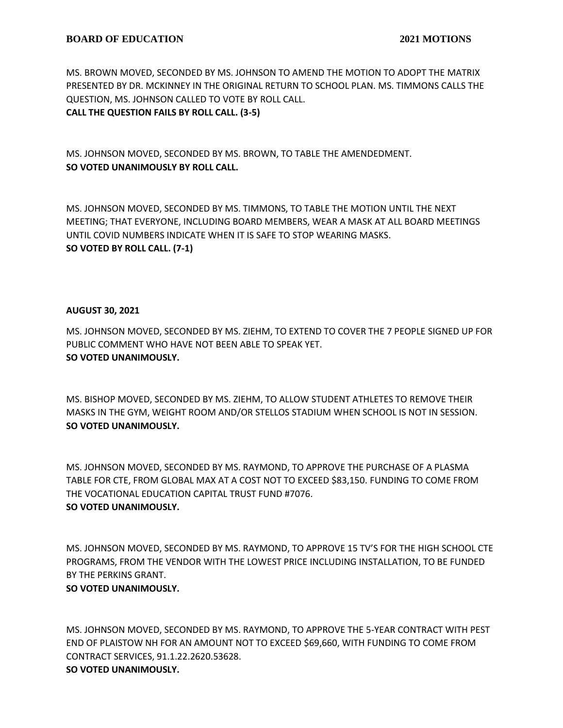MS. BROWN MOVED, SECONDED BY MS. JOHNSON TO AMEND THE MOTION TO ADOPT THE MATRIX PRESENTED BY DR. MCKINNEY IN THE ORIGINAL RETURN TO SCHOOL PLAN. MS. TIMMONS CALLS THE QUESTION, MS. JOHNSON CALLED TO VOTE BY ROLL CALL. **CALL THE QUESTION FAILS BY ROLL CALL. (3-5)**

MS. JOHNSON MOVED, SECONDED BY MS. BROWN, TO TABLE THE AMENDEDMENT. **SO VOTED UNANIMOUSLY BY ROLL CALL.**

MS. JOHNSON MOVED, SECONDED BY MS. TIMMONS, TO TABLE THE MOTION UNTIL THE NEXT MEETING; THAT EVERYONE, INCLUDING BOARD MEMBERS, WEAR A MASK AT ALL BOARD MEETINGS UNTIL COVID NUMBERS INDICATE WHEN IT IS SAFE TO STOP WEARING MASKS. **SO VOTED BY ROLL CALL. (7-1)**

# **AUGUST 30, 2021**

MS. JOHNSON MOVED, SECONDED BY MS. ZIEHM, TO EXTEND TO COVER THE 7 PEOPLE SIGNED UP FOR PUBLIC COMMENT WHO HAVE NOT BEEN ABLE TO SPEAK YET. **SO VOTED UNANIMOUSLY.**

MS. BISHOP MOVED, SECONDED BY MS. ZIEHM, TO ALLOW STUDENT ATHLETES TO REMOVE THEIR MASKS IN THE GYM, WEIGHT ROOM AND/OR STELLOS STADIUM WHEN SCHOOL IS NOT IN SESSION. **SO VOTED UNANIMOUSLY.**

MS. JOHNSON MOVED, SECONDED BY MS. RAYMOND, TO APPROVE THE PURCHASE OF A PLASMA TABLE FOR CTE, FROM GLOBAL MAX AT A COST NOT TO EXCEED \$83,150. FUNDING TO COME FROM THE VOCATIONAL EDUCATION CAPITAL TRUST FUND #7076. **SO VOTED UNANIMOUSLY.**

MS. JOHNSON MOVED, SECONDED BY MS. RAYMOND, TO APPROVE 15 TV'S FOR THE HIGH SCHOOL CTE PROGRAMS, FROM THE VENDOR WITH THE LOWEST PRICE INCLUDING INSTALLATION, TO BE FUNDED BY THE PERKINS GRANT.

# **SO VOTED UNANIMOUSLY.**

MS. JOHNSON MOVED, SECONDED BY MS. RAYMOND, TO APPROVE THE 5-YEAR CONTRACT WITH PEST END OF PLAISTOW NH FOR AN AMOUNT NOT TO EXCEED \$69,660, WITH FUNDING TO COME FROM CONTRACT SERVICES, 91.1.22.2620.53628. **SO VOTED UNANIMOUSLY.**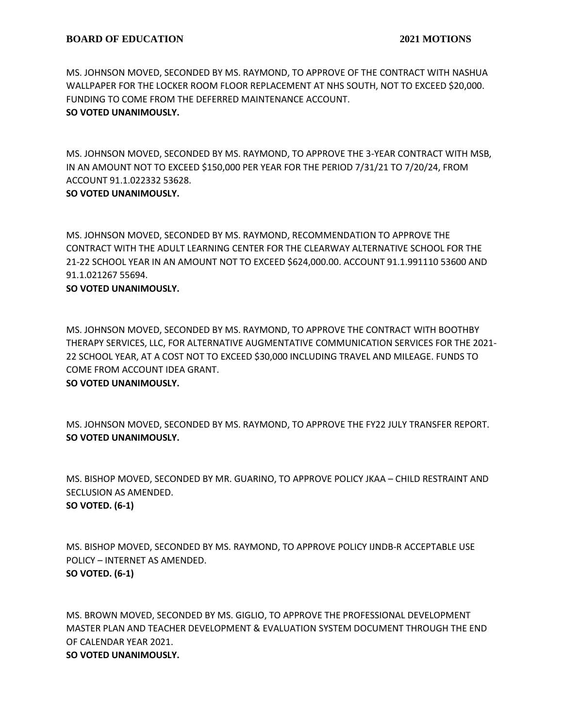MS. JOHNSON MOVED, SECONDED BY MS. RAYMOND, TO APPROVE OF THE CONTRACT WITH NASHUA WALLPAPER FOR THE LOCKER ROOM FLOOR REPLACEMENT AT NHS SOUTH, NOT TO EXCEED \$20,000. FUNDING TO COME FROM THE DEFERRED MAINTENANCE ACCOUNT. **SO VOTED UNANIMOUSLY.**

MS. JOHNSON MOVED, SECONDED BY MS. RAYMOND, TO APPROVE THE 3-YEAR CONTRACT WITH MSB, IN AN AMOUNT NOT TO EXCEED \$150,000 PER YEAR FOR THE PERIOD 7/31/21 TO 7/20/24, FROM ACCOUNT 91.1.022332 53628.

# **SO VOTED UNANIMOUSLY.**

MS. JOHNSON MOVED, SECONDED BY MS. RAYMOND, RECOMMENDATION TO APPROVE THE CONTRACT WITH THE ADULT LEARNING CENTER FOR THE CLEARWAY ALTERNATIVE SCHOOL FOR THE 21-22 SCHOOL YEAR IN AN AMOUNT NOT TO EXCEED \$624,000.00. ACCOUNT 91.1.991110 53600 AND 91.1.021267 55694.

# **SO VOTED UNANIMOUSLY.**

MS. JOHNSON MOVED, SECONDED BY MS. RAYMOND, TO APPROVE THE CONTRACT WITH BOOTHBY THERAPY SERVICES, LLC, FOR ALTERNATIVE AUGMENTATIVE COMMUNICATION SERVICES FOR THE 2021- 22 SCHOOL YEAR, AT A COST NOT TO EXCEED \$30,000 INCLUDING TRAVEL AND MILEAGE. FUNDS TO COME FROM ACCOUNT IDEA GRANT.

# **SO VOTED UNANIMOUSLY.**

MS. JOHNSON MOVED, SECONDED BY MS. RAYMOND, TO APPROVE THE FY22 JULY TRANSFER REPORT. **SO VOTED UNANIMOUSLY.**

MS. BISHOP MOVED, SECONDED BY MR. GUARINO, TO APPROVE POLICY JKAA – CHILD RESTRAINT AND SECLUSION AS AMENDED. **SO VOTED. (6-1)**

MS. BISHOP MOVED, SECONDED BY MS. RAYMOND, TO APPROVE POLICY IJNDB-R ACCEPTABLE USE POLICY – INTERNET AS AMENDED. **SO VOTED. (6-1)**

MS. BROWN MOVED, SECONDED BY MS. GIGLIO, TO APPROVE THE PROFESSIONAL DEVELOPMENT MASTER PLAN AND TEACHER DEVELOPMENT & EVALUATION SYSTEM DOCUMENT THROUGH THE END OF CALENDAR YEAR 2021. **SO VOTED UNANIMOUSLY.**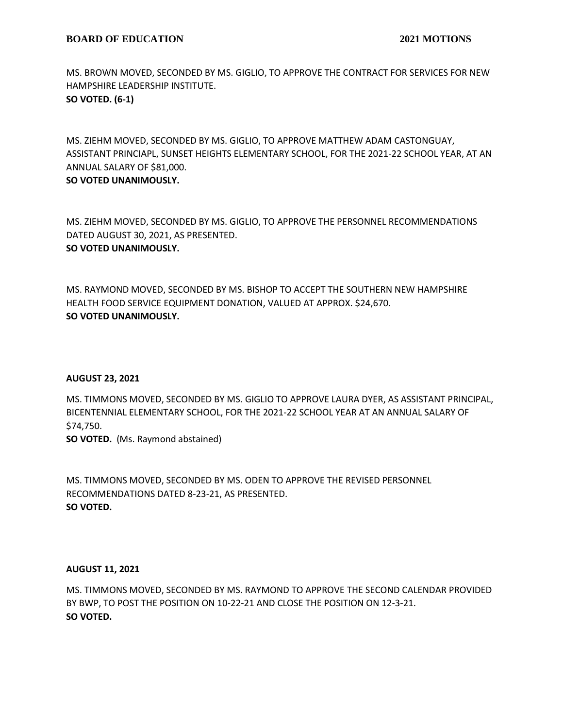MS. BROWN MOVED, SECONDED BY MS. GIGLIO, TO APPROVE THE CONTRACT FOR SERVICES FOR NEW HAMPSHIRE LEADERSHIP INSTITUTE. **SO VOTED. (6-1)**

MS. ZIEHM MOVED, SECONDED BY MS. GIGLIO, TO APPROVE MATTHEW ADAM CASTONGUAY, ASSISTANT PRINCIAPL, SUNSET HEIGHTS ELEMENTARY SCHOOL, FOR THE 2021-22 SCHOOL YEAR, AT AN ANNUAL SALARY OF \$81,000.

**SO VOTED UNANIMOUSLY.**

MS. ZIEHM MOVED, SECONDED BY MS. GIGLIO, TO APPROVE THE PERSONNEL RECOMMENDATIONS DATED AUGUST 30, 2021, AS PRESENTED. **SO VOTED UNANIMOUSLY.**

MS. RAYMOND MOVED, SECONDED BY MS. BISHOP TO ACCEPT THE SOUTHERN NEW HAMPSHIRE HEALTH FOOD SERVICE EQUIPMENT DONATION, VALUED AT APPROX. \$24,670. **SO VOTED UNANIMOUSLY.**

### **AUGUST 23, 2021**

MS. TIMMONS MOVED, SECONDED BY MS. GIGLIO TO APPROVE LAURA DYER, AS ASSISTANT PRINCIPAL, BICENTENNIAL ELEMENTARY SCHOOL, FOR THE 2021-22 SCHOOL YEAR AT AN ANNUAL SALARY OF \$74,750.

**SO VOTED.** (Ms. Raymond abstained)

MS. TIMMONS MOVED, SECONDED BY MS. ODEN TO APPROVE THE REVISED PERSONNEL RECOMMENDATIONS DATED 8-23-21, AS PRESENTED. **SO VOTED.**

### **AUGUST 11, 2021**

MS. TIMMONS MOVED, SECONDED BY MS. RAYMOND TO APPROVE THE SECOND CALENDAR PROVIDED BY BWP, TO POST THE POSITION ON 10-22-21 AND CLOSE THE POSITION ON 12-3-21. **SO VOTED.**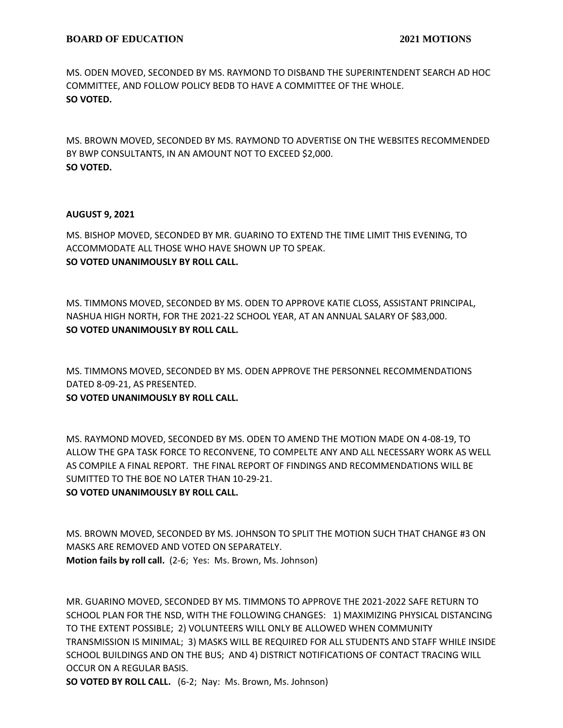MS. ODEN MOVED, SECONDED BY MS. RAYMOND TO DISBAND THE SUPERINTENDENT SEARCH AD HOC COMMITTEE, AND FOLLOW POLICY BEDB TO HAVE A COMMITTEE OF THE WHOLE. **SO VOTED.**

MS. BROWN MOVED, SECONDED BY MS. RAYMOND TO ADVERTISE ON THE WEBSITES RECOMMENDED BY BWP CONSULTANTS, IN AN AMOUNT NOT TO EXCEED \$2,000. **SO VOTED.**

# **AUGUST 9, 2021**

MS. BISHOP MOVED, SECONDED BY MR. GUARINO TO EXTEND THE TIME LIMIT THIS EVENING, TO ACCOMMODATE ALL THOSE WHO HAVE SHOWN UP TO SPEAK. **SO VOTED UNANIMOUSLY BY ROLL CALL.**

MS. TIMMONS MOVED, SECONDED BY MS. ODEN TO APPROVE KATIE CLOSS, ASSISTANT PRINCIPAL, NASHUA HIGH NORTH, FOR THE 2021-22 SCHOOL YEAR, AT AN ANNUAL SALARY OF \$83,000. **SO VOTED UNANIMOUSLY BY ROLL CALL.**

MS. TIMMONS MOVED, SECONDED BY MS. ODEN APPROVE THE PERSONNEL RECOMMENDATIONS DATED 8-09-21, AS PRESENTED.

# **SO VOTED UNANIMOUSLY BY ROLL CALL.**

MS. RAYMOND MOVED, SECONDED BY MS. ODEN TO AMEND THE MOTION MADE ON 4-08-19, TO ALLOW THE GPA TASK FORCE TO RECONVENE, TO COMPELTE ANY AND ALL NECESSARY WORK AS WELL AS COMPILE A FINAL REPORT. THE FINAL REPORT OF FINDINGS AND RECOMMENDATIONS WILL BE SUMITTED TO THE BOE NO LATER THAN 10-29-21.

# **SO VOTED UNANIMOUSLY BY ROLL CALL.**

MS. BROWN MOVED, SECONDED BY MS. JOHNSON TO SPLIT THE MOTION SUCH THAT CHANGE #3 ON MASKS ARE REMOVED AND VOTED ON SEPARATELY. **Motion fails by roll call.** (2-6; Yes: Ms. Brown, Ms. Johnson)

MR. GUARINO MOVED, SECONDED BY MS. TIMMONS TO APPROVE THE 2021-2022 SAFE RETURN TO SCHOOL PLAN FOR THE NSD, WITH THE FOLLOWING CHANGES: 1) MAXIMIZING PHYSICAL DISTANCING TO THE EXTENT POSSIBLE; 2) VOLUNTEERS WILL ONLY BE ALLOWED WHEN COMMUNITY TRANSMISSION IS MINIMAL; 3) MASKS WILL BE REQUIRED FOR ALL STUDENTS AND STAFF WHILE INSIDE SCHOOL BUILDINGS AND ON THE BUS; AND 4) DISTRICT NOTIFICATIONS OF CONTACT TRACING WILL OCCUR ON A REGULAR BASIS.

**SO VOTED BY ROLL CALL.** (6-2; Nay: Ms. Brown, Ms. Johnson)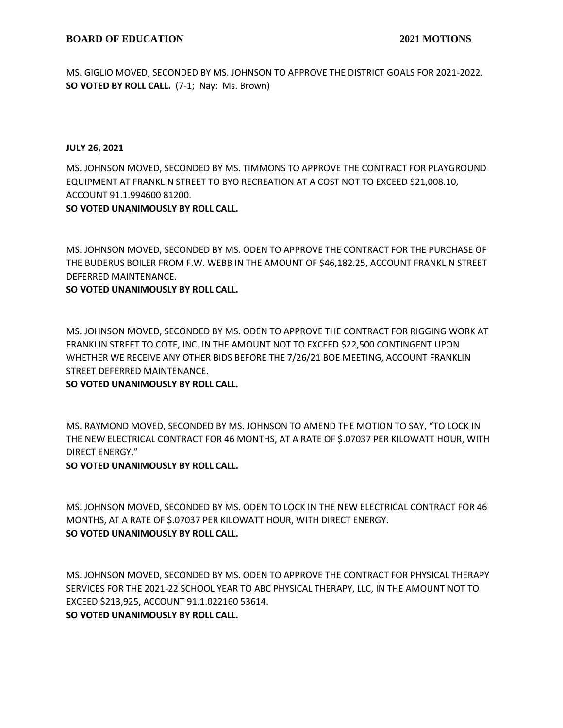MS. GIGLIO MOVED, SECONDED BY MS. JOHNSON TO APPROVE THE DISTRICT GOALS FOR 2021-2022. **SO VOTED BY ROLL CALL.** (7-1; Nay: Ms. Brown)

### **JULY 26, 2021**

MS. JOHNSON MOVED, SECONDED BY MS. TIMMONS TO APPROVE THE CONTRACT FOR PLAYGROUND EQUIPMENT AT FRANKLIN STREET TO BYO RECREATION AT A COST NOT TO EXCEED \$21,008.10, ACCOUNT 91.1.994600 81200.

## **SO VOTED UNANIMOUSLY BY ROLL CALL.**

MS. JOHNSON MOVED, SECONDED BY MS. ODEN TO APPROVE THE CONTRACT FOR THE PURCHASE OF THE BUDERUS BOILER FROM F.W. WEBB IN THE AMOUNT OF \$46,182.25, ACCOUNT FRANKLIN STREET DEFERRED MAINTENANCE.

# **SO VOTED UNANIMOUSLY BY ROLL CALL.**

MS. JOHNSON MOVED, SECONDED BY MS. ODEN TO APPROVE THE CONTRACT FOR RIGGING WORK AT FRANKLIN STREET TO COTE, INC. IN THE AMOUNT NOT TO EXCEED \$22,500 CONTINGENT UPON WHETHER WE RECEIVE ANY OTHER BIDS BEFORE THE 7/26/21 BOE MEETING, ACCOUNT FRANKLIN STREET DEFERRED MAINTENANCE.

# **SO VOTED UNANIMOUSLY BY ROLL CALL.**

MS. RAYMOND MOVED, SECONDED BY MS. JOHNSON TO AMEND THE MOTION TO SAY, "TO LOCK IN THE NEW ELECTRICAL CONTRACT FOR 46 MONTHS, AT A RATE OF \$.07037 PER KILOWATT HOUR, WITH DIRECT ENERGY."

# **SO VOTED UNANIMOUSLY BY ROLL CALL.**

MS. JOHNSON MOVED, SECONDED BY MS. ODEN TO LOCK IN THE NEW ELECTRICAL CONTRACT FOR 46 MONTHS, AT A RATE OF \$.07037 PER KILOWATT HOUR, WITH DIRECT ENERGY. **SO VOTED UNANIMOUSLY BY ROLL CALL.**

MS. JOHNSON MOVED, SECONDED BY MS. ODEN TO APPROVE THE CONTRACT FOR PHYSICAL THERAPY SERVICES FOR THE 2021-22 SCHOOL YEAR TO ABC PHYSICAL THERAPY, LLC, IN THE AMOUNT NOT TO EXCEED \$213,925, ACCOUNT 91.1.022160 53614. **SO VOTED UNANIMOUSLY BY ROLL CALL.**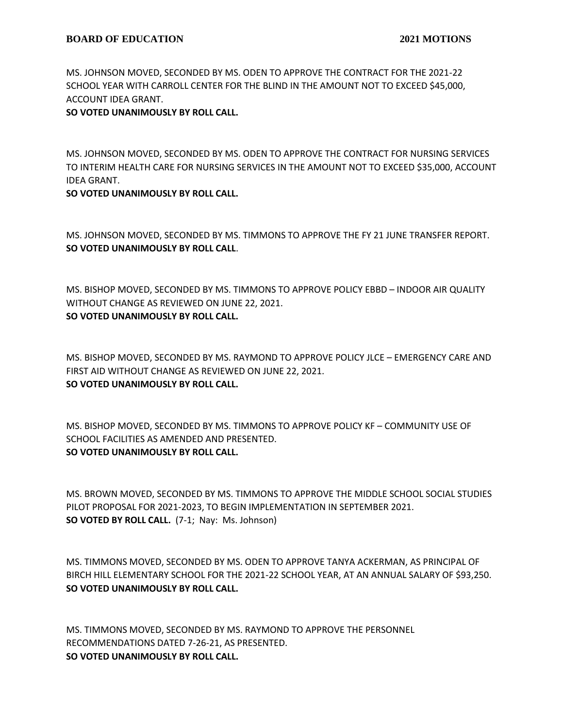MS. JOHNSON MOVED, SECONDED BY MS. ODEN TO APPROVE THE CONTRACT FOR THE 2021-22 SCHOOL YEAR WITH CARROLL CENTER FOR THE BLIND IN THE AMOUNT NOT TO EXCEED \$45,000, ACCOUNT IDEA GRANT.

## **SO VOTED UNANIMOUSLY BY ROLL CALL.**

MS. JOHNSON MOVED, SECONDED BY MS. ODEN TO APPROVE THE CONTRACT FOR NURSING SERVICES TO INTERIM HEALTH CARE FOR NURSING SERVICES IN THE AMOUNT NOT TO EXCEED \$35,000, ACCOUNT IDEA GRANT.

## **SO VOTED UNANIMOUSLY BY ROLL CALL.**

MS. JOHNSON MOVED, SECONDED BY MS. TIMMONS TO APPROVE THE FY 21 JUNE TRANSFER REPORT. **SO VOTED UNANIMOUSLY BY ROLL CALL**.

MS. BISHOP MOVED, SECONDED BY MS. TIMMONS TO APPROVE POLICY EBBD – INDOOR AIR QUALITY WITHOUT CHANGE AS REVIEWED ON JUNE 22, 2021. **SO VOTED UNANIMOUSLY BY ROLL CALL.**

MS. BISHOP MOVED, SECONDED BY MS. RAYMOND TO APPROVE POLICY JLCE – EMERGENCY CARE AND FIRST AID WITHOUT CHANGE AS REVIEWED ON JUNE 22, 2021. **SO VOTED UNANIMOUSLY BY ROLL CALL.**

MS. BISHOP MOVED, SECONDED BY MS. TIMMONS TO APPROVE POLICY KF – COMMUNITY USE OF SCHOOL FACILITIES AS AMENDED AND PRESENTED. **SO VOTED UNANIMOUSLY BY ROLL CALL.**

MS. BROWN MOVED, SECONDED BY MS. TIMMONS TO APPROVE THE MIDDLE SCHOOL SOCIAL STUDIES PILOT PROPOSAL FOR 2021-2023, TO BEGIN IMPLEMENTATION IN SEPTEMBER 2021. **SO VOTED BY ROLL CALL.** (7-1; Nay: Ms. Johnson)

MS. TIMMONS MOVED, SECONDED BY MS. ODEN TO APPROVE TANYA ACKERMAN, AS PRINCIPAL OF BIRCH HILL ELEMENTARY SCHOOL FOR THE 2021-22 SCHOOL YEAR, AT AN ANNUAL SALARY OF \$93,250. **SO VOTED UNANIMOUSLY BY ROLL CALL.**

MS. TIMMONS MOVED, SECONDED BY MS. RAYMOND TO APPROVE THE PERSONNEL RECOMMENDATIONS DATED 7-26-21, AS PRESENTED. **SO VOTED UNANIMOUSLY BY ROLL CALL.**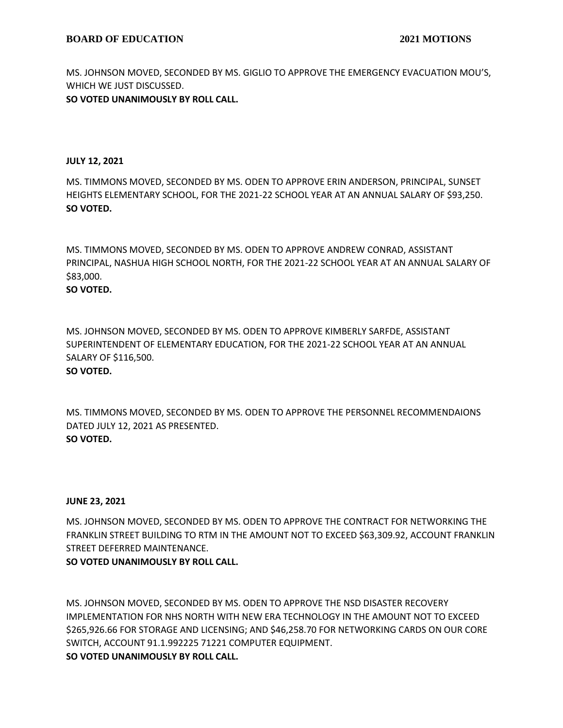MS. JOHNSON MOVED, SECONDED BY MS. GIGLIO TO APPROVE THE EMERGENCY EVACUATION MOU'S, WHICH WE JUST DISCUSSED.

# **SO VOTED UNANIMOUSLY BY ROLL CALL.**

## **JULY 12, 2021**

MS. TIMMONS MOVED, SECONDED BY MS. ODEN TO APPROVE ERIN ANDERSON, PRINCIPAL, SUNSET HEIGHTS ELEMENTARY SCHOOL, FOR THE 2021-22 SCHOOL YEAR AT AN ANNUAL SALARY OF \$93,250. **SO VOTED.**

MS. TIMMONS MOVED, SECONDED BY MS. ODEN TO APPROVE ANDREW CONRAD, ASSISTANT PRINCIPAL, NASHUA HIGH SCHOOL NORTH, FOR THE 2021-22 SCHOOL YEAR AT AN ANNUAL SALARY OF \$83,000.

# **SO VOTED.**

MS. JOHNSON MOVED, SECONDED BY MS. ODEN TO APPROVE KIMBERLY SARFDE, ASSISTANT SUPERINTENDENT OF ELEMENTARY EDUCATION, FOR THE 2021-22 SCHOOL YEAR AT AN ANNUAL SALARY OF \$116,500. **SO VOTED.**

MS. TIMMONS MOVED, SECONDED BY MS. ODEN TO APPROVE THE PERSONNEL RECOMMENDAIONS DATED JULY 12, 2021 AS PRESENTED. **SO VOTED.**

### **JUNE 23, 2021**

MS. JOHNSON MOVED, SECONDED BY MS. ODEN TO APPROVE THE CONTRACT FOR NETWORKING THE FRANKLIN STREET BUILDING TO RTM IN THE AMOUNT NOT TO EXCEED \$63,309.92, ACCOUNT FRANKLIN STREET DEFERRED MAINTENANCE.

# **SO VOTED UNANIMOUSLY BY ROLL CALL.**

MS. JOHNSON MOVED, SECONDED BY MS. ODEN TO APPROVE THE NSD DISASTER RECOVERY IMPLEMENTATION FOR NHS NORTH WITH NEW ERA TECHNOLOGY IN THE AMOUNT NOT TO EXCEED \$265,926.66 FOR STORAGE AND LICENSING; AND \$46,258.70 FOR NETWORKING CARDS ON OUR CORE SWITCH, ACCOUNT 91.1.992225 71221 COMPUTER EQUIPMENT. **SO VOTED UNANIMOUSLY BY ROLL CALL.**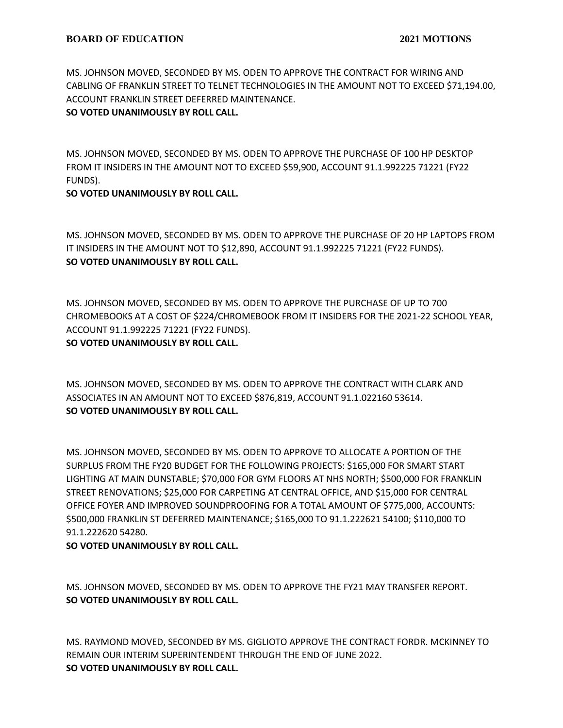MS. JOHNSON MOVED, SECONDED BY MS. ODEN TO APPROVE THE CONTRACT FOR WIRING AND CABLING OF FRANKLIN STREET TO TELNET TECHNOLOGIES IN THE AMOUNT NOT TO EXCEED \$71,194.00, ACCOUNT FRANKLIN STREET DEFERRED MAINTENANCE.

# **SO VOTED UNANIMOUSLY BY ROLL CALL.**

MS. JOHNSON MOVED, SECONDED BY MS. ODEN TO APPROVE THE PURCHASE OF 100 HP DESKTOP FROM IT INSIDERS IN THE AMOUNT NOT TO EXCEED \$59,900, ACCOUNT 91.1.992225 71221 (FY22 FUNDS).

# **SO VOTED UNANIMOUSLY BY ROLL CALL.**

MS. JOHNSON MOVED, SECONDED BY MS. ODEN TO APPROVE THE PURCHASE OF 20 HP LAPTOPS FROM IT INSIDERS IN THE AMOUNT NOT TO \$12,890, ACCOUNT 91.1.992225 71221 (FY22 FUNDS). **SO VOTED UNANIMOUSLY BY ROLL CALL.**

MS. JOHNSON MOVED, SECONDED BY MS. ODEN TO APPROVE THE PURCHASE OF UP TO 700 CHROMEBOOKS AT A COST OF \$224/CHROMEBOOK FROM IT INSIDERS FOR THE 2021-22 SCHOOL YEAR, ACCOUNT 91.1.992225 71221 (FY22 FUNDS). **SO VOTED UNANIMOUSLY BY ROLL CALL.**

MS. JOHNSON MOVED, SECONDED BY MS. ODEN TO APPROVE THE CONTRACT WITH CLARK AND ASSOCIATES IN AN AMOUNT NOT TO EXCEED \$876,819, ACCOUNT 91.1.022160 53614. **SO VOTED UNANIMOUSLY BY ROLL CALL.**

MS. JOHNSON MOVED, SECONDED BY MS. ODEN TO APPROVE TO ALLOCATE A PORTION OF THE SURPLUS FROM THE FY20 BUDGET FOR THE FOLLOWING PROJECTS: \$165,000 FOR SMART START LIGHTING AT MAIN DUNSTABLE; \$70,000 FOR GYM FLOORS AT NHS NORTH; \$500,000 FOR FRANKLIN STREET RENOVATIONS; \$25,000 FOR CARPETING AT CENTRAL OFFICE, AND \$15,000 FOR CENTRAL OFFICE FOYER AND IMPROVED SOUNDPROOFING FOR A TOTAL AMOUNT OF \$775,000, ACCOUNTS: \$500,000 FRANKLIN ST DEFERRED MAINTENANCE; \$165,000 TO 91.1.222621 54100; \$110,000 TO 91.1.222620 54280.

# **SO VOTED UNANIMOUSLY BY ROLL CALL.**

MS. JOHNSON MOVED, SECONDED BY MS. ODEN TO APPROVE THE FY21 MAY TRANSFER REPORT. **SO VOTED UNANIMOUSLY BY ROLL CALL.**

MS. RAYMOND MOVED, SECONDED BY MS. GIGLIOTO APPROVE THE CONTRACT FORDR. MCKINNEY TO REMAIN OUR INTERIM SUPERINTENDENT THROUGH THE END OF JUNE 2022. **SO VOTED UNANIMOUSLY BY ROLL CALL.**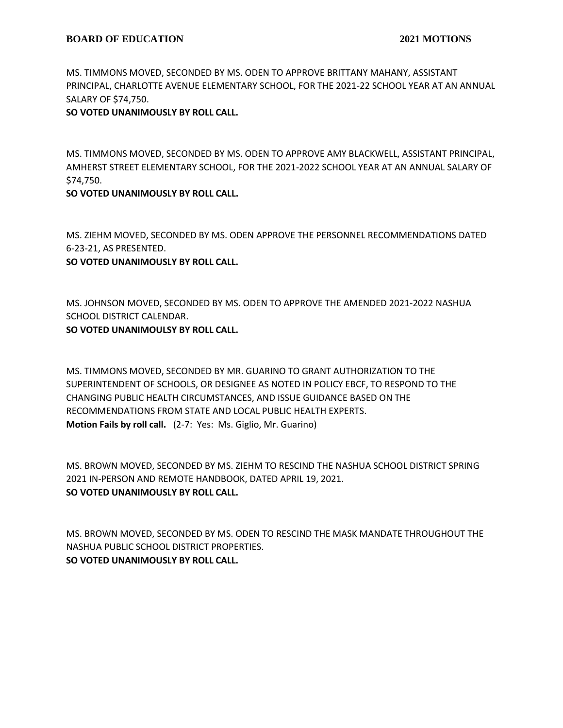MS. TIMMONS MOVED, SECONDED BY MS. ODEN TO APPROVE BRITTANY MAHANY, ASSISTANT PRINCIPAL, CHARLOTTE AVENUE ELEMENTARY SCHOOL, FOR THE 2021-22 SCHOOL YEAR AT AN ANNUAL SALARY OF \$74,750.

# **SO VOTED UNANIMOUSLY BY ROLL CALL.**

MS. TIMMONS MOVED, SECONDED BY MS. ODEN TO APPROVE AMY BLACKWELL, ASSISTANT PRINCIPAL, AMHERST STREET ELEMENTARY SCHOOL, FOR THE 2021-2022 SCHOOL YEAR AT AN ANNUAL SALARY OF \$74,750.

# **SO VOTED UNANIMOUSLY BY ROLL CALL.**

MS. ZIEHM MOVED, SECONDED BY MS. ODEN APPROVE THE PERSONNEL RECOMMENDATIONS DATED 6-23-21, AS PRESENTED.

**SO VOTED UNANIMOUSLY BY ROLL CALL.**

MS. JOHNSON MOVED, SECONDED BY MS. ODEN TO APPROVE THE AMENDED 2021-2022 NASHUA SCHOOL DISTRICT CALENDAR. **SO VOTED UNANIMOULSY BY ROLL CALL.**

MS. TIMMONS MOVED, SECONDED BY MR. GUARINO TO GRANT AUTHORIZATION TO THE SUPERINTENDENT OF SCHOOLS, OR DESIGNEE AS NOTED IN POLICY EBCF, TO RESPOND TO THE CHANGING PUBLIC HEALTH CIRCUMSTANCES, AND ISSUE GUIDANCE BASED ON THE RECOMMENDATIONS FROM STATE AND LOCAL PUBLIC HEALTH EXPERTS. **Motion Fails by roll call.** (2-7: Yes: Ms. Giglio, Mr. Guarino)

MS. BROWN MOVED, SECONDED BY MS. ZIEHM TO RESCIND THE NASHUA SCHOOL DISTRICT SPRING 2021 IN-PERSON AND REMOTE HANDBOOK, DATED APRIL 19, 2021. **SO VOTED UNANIMOUSLY BY ROLL CALL.**

MS. BROWN MOVED, SECONDED BY MS. ODEN TO RESCIND THE MASK MANDATE THROUGHOUT THE NASHUA PUBLIC SCHOOL DISTRICT PROPERTIES. **SO VOTED UNANIMOUSLY BY ROLL CALL.**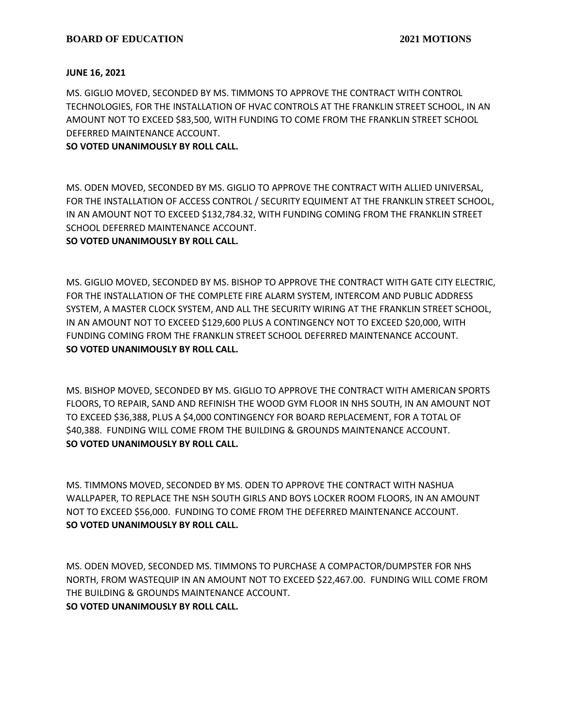### **JUNE 16, 2021**

MS. GIGLIO MOVED, SECONDED BY MS. TIMMONS TO APPROVE THE CONTRACT WITH CONTROL TECHNOLOGIES, FOR THE INSTALLATION OF HVAC CONTROLS AT THE FRANKLIN STREET SCHOOL, IN AN AMOUNT NOT TO EXCEED \$83,500, WITH FUNDING TO COME FROM THE FRANKLIN STREET SCHOOL DEFERRED MAINTENANCE ACCOUNT.

# **SO VOTED UNANIMOUSLY BY ROLL CALL.**

MS. ODEN MOVED, SECONDED BY MS. GIGLIO TO APPROVE THE CONTRACT WITH ALLIED UNIVERSAL, FOR THE INSTALLATION OF ACCESS CONTROL / SECURITY EQUIMENT AT THE FRANKLIN STREET SCHOOL, IN AN AMOUNT NOT TO EXCEED \$132,784.32, WITH FUNDING COMING FROM THE FRANKLIN STREET SCHOOL DEFERRED MAINTENANCE ACCOUNT.

## **SO VOTED UNANIMOUSLY BY ROLL CALL.**

MS. GIGLIO MOVED, SECONDED BY MS. BISHOP TO APPROVE THE CONTRACT WITH GATE CITY ELECTRIC, FOR THE INSTALLATION OF THE COMPLETE FIRE ALARM SYSTEM, INTERCOM AND PUBLIC ADDRESS SYSTEM, A MASTER CLOCK SYSTEM, AND ALL THE SECURITY WIRING AT THE FRANKLIN STREET SCHOOL, IN AN AMOUNT NOT TO EXCEED \$129,600 PLUS A CONTINGENCY NOT TO EXCEED \$20,000, WITH FUNDING COMING FROM THE FRANKLIN STREET SCHOOL DEFERRED MAINTENANCE ACCOUNT. **SO VOTED UNANIMOUSLY BY ROLL CALL.**

MS. BISHOP MOVED, SECONDED BY MS. GIGLIO TO APPROVE THE CONTRACT WITH AMERICAN SPORTS FLOORS, TO REPAIR, SAND AND REFINISH THE WOOD GYM FLOOR IN NHS SOUTH, IN AN AMOUNT NOT TO EXCEED \$36,388, PLUS A \$4,000 CONTINGENCY FOR BOARD REPLACEMENT, FOR A TOTAL OF \$40,388. FUNDING WILL COME FROM THE BUILDING & GROUNDS MAINTENANCE ACCOUNT. **SO VOTED UNANIMOUSLY BY ROLL CALL.**

MS. TIMMONS MOVED, SECONDED BY MS. ODEN TO APPROVE THE CONTRACT WITH NASHUA WALLPAPER, TO REPLACE THE NSH SOUTH GIRLS AND BOYS LOCKER ROOM FLOORS, IN AN AMOUNT NOT TO EXCEED \$56,000. FUNDING TO COME FROM THE DEFERRED MAINTENANCE ACCOUNT. **SO VOTED UNANIMOUSLY BY ROLL CALL.**

MS. ODEN MOVED, SECONDED MS. TIMMONS TO PURCHASE A COMPACTOR/DUMPSTER FOR NHS NORTH, FROM WASTEQUIP IN AN AMOUNT NOT TO EXCEED \$22,467.00. FUNDING WILL COME FROM THE BUILDING & GROUNDS MAINTENANCE ACCOUNT. **SO VOTED UNANIMOUSLY BY ROLL CALL.**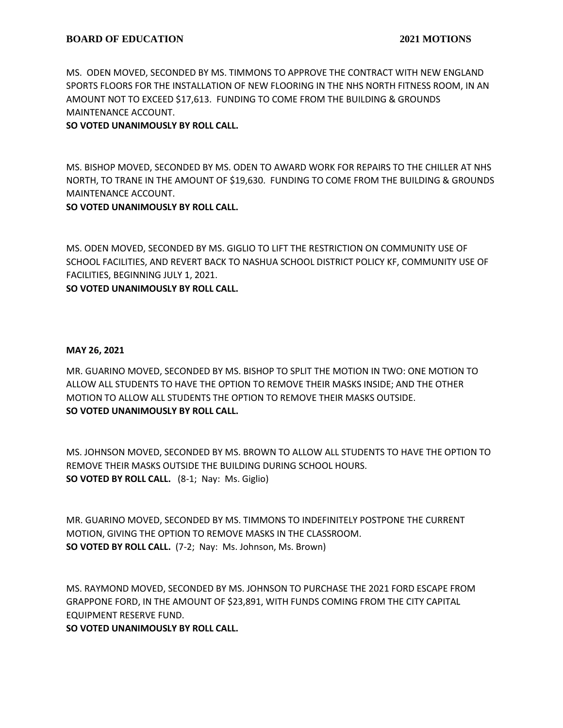MS. ODEN MOVED, SECONDED BY MS. TIMMONS TO APPROVE THE CONTRACT WITH NEW ENGLAND SPORTS FLOORS FOR THE INSTALLATION OF NEW FLOORING IN THE NHS NORTH FITNESS ROOM, IN AN AMOUNT NOT TO EXCEED \$17,613. FUNDING TO COME FROM THE BUILDING & GROUNDS MAINTENANCE ACCOUNT.

# **SO VOTED UNANIMOUSLY BY ROLL CALL.**

MS. BISHOP MOVED, SECONDED BY MS. ODEN TO AWARD WORK FOR REPAIRS TO THE CHILLER AT NHS NORTH, TO TRANE IN THE AMOUNT OF \$19,630. FUNDING TO COME FROM THE BUILDING & GROUNDS MAINTENANCE ACCOUNT.

# **SO VOTED UNANIMOUSLY BY ROLL CALL.**

MS. ODEN MOVED, SECONDED BY MS. GIGLIO TO LIFT THE RESTRICTION ON COMMUNITY USE OF SCHOOL FACILITIES, AND REVERT BACK TO NASHUA SCHOOL DISTRICT POLICY KF, COMMUNITY USE OF FACILITIES, BEGINNING JULY 1, 2021.

**SO VOTED UNANIMOUSLY BY ROLL CALL.**

## **MAY 26, 2021**

MR. GUARINO MOVED, SECONDED BY MS. BISHOP TO SPLIT THE MOTION IN TWO: ONE MOTION TO ALLOW ALL STUDENTS TO HAVE THE OPTION TO REMOVE THEIR MASKS INSIDE; AND THE OTHER MOTION TO ALLOW ALL STUDENTS THE OPTION TO REMOVE THEIR MASKS OUTSIDE. **SO VOTED UNANIMOUSLY BY ROLL CALL.**

MS. JOHNSON MOVED, SECONDED BY MS. BROWN TO ALLOW ALL STUDENTS TO HAVE THE OPTION TO REMOVE THEIR MASKS OUTSIDE THE BUILDING DURING SCHOOL HOURS. **SO VOTED BY ROLL CALL.** (8-1; Nay: Ms. Giglio)

MR. GUARINO MOVED, SECONDED BY MS. TIMMONS TO INDEFINITELY POSTPONE THE CURRENT MOTION, GIVING THE OPTION TO REMOVE MASKS IN THE CLASSROOM. **SO VOTED BY ROLL CALL.** (7-2; Nay: Ms. Johnson, Ms. Brown)

MS. RAYMOND MOVED, SECONDED BY MS. JOHNSON TO PURCHASE THE 2021 FORD ESCAPE FROM GRAPPONE FORD, IN THE AMOUNT OF \$23,891, WITH FUNDS COMING FROM THE CITY CAPITAL EQUIPMENT RESERVE FUND.

**SO VOTED UNANIMOUSLY BY ROLL CALL.**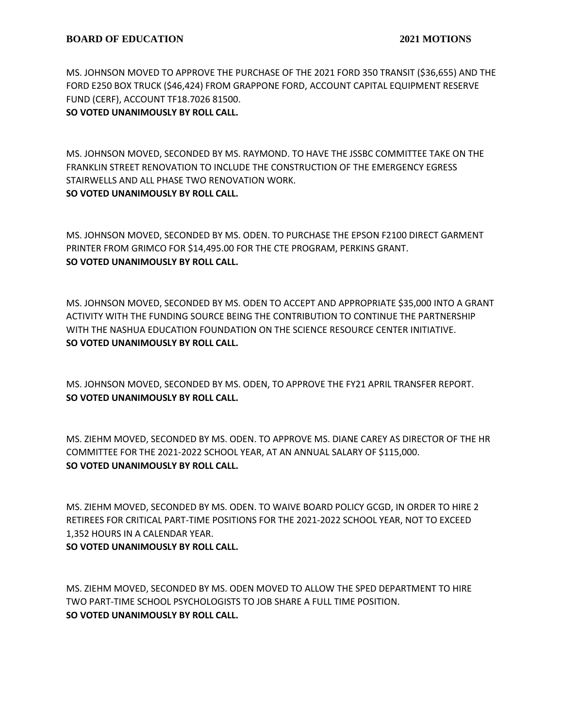MS. JOHNSON MOVED TO APPROVE THE PURCHASE OF THE 2021 FORD 350 TRANSIT (\$36,655) AND THE FORD E250 BOX TRUCK (\$46,424) FROM GRAPPONE FORD, ACCOUNT CAPITAL EQUIPMENT RESERVE FUND (CERF), ACCOUNT TF18.7026 81500.

**SO VOTED UNANIMOUSLY BY ROLL CALL.**

MS. JOHNSON MOVED, SECONDED BY MS. RAYMOND. TO HAVE THE JSSBC COMMITTEE TAKE ON THE FRANKLIN STREET RENOVATION TO INCLUDE THE CONSTRUCTION OF THE EMERGENCY EGRESS STAIRWELLS AND ALL PHASE TWO RENOVATION WORK. **SO VOTED UNANIMOUSLY BY ROLL CALL.**

MS. JOHNSON MOVED, SECONDED BY MS. ODEN. TO PURCHASE THE EPSON F2100 DIRECT GARMENT PRINTER FROM GRIMCO FOR \$14,495.00 FOR THE CTE PROGRAM, PERKINS GRANT. **SO VOTED UNANIMOUSLY BY ROLL CALL.**

MS. JOHNSON MOVED, SECONDED BY MS. ODEN TO ACCEPT AND APPROPRIATE \$35,000 INTO A GRANT ACTIVITY WITH THE FUNDING SOURCE BEING THE CONTRIBUTION TO CONTINUE THE PARTNERSHIP WITH THE NASHUA EDUCATION FOUNDATION ON THE SCIENCE RESOURCE CENTER INITIATIVE. **SO VOTED UNANIMOUSLY BY ROLL CALL.**

MS. JOHNSON MOVED, SECONDED BY MS. ODEN, TO APPROVE THE FY21 APRIL TRANSFER REPORT. **SO VOTED UNANIMOUSLY BY ROLL CALL.**

MS. ZIEHM MOVED, SECONDED BY MS. ODEN. TO APPROVE MS. DIANE CAREY AS DIRECTOR OF THE HR COMMITTEE FOR THE 2021-2022 SCHOOL YEAR, AT AN ANNUAL SALARY OF \$115,000. **SO VOTED UNANIMOUSLY BY ROLL CALL.**

MS. ZIEHM MOVED, SECONDED BY MS. ODEN. TO WAIVE BOARD POLICY GCGD, IN ORDER TO HIRE 2 RETIREES FOR CRITICAL PART-TIME POSITIONS FOR THE 2021-2022 SCHOOL YEAR, NOT TO EXCEED 1,352 HOURS IN A CALENDAR YEAR. **SO VOTED UNANIMOUSLY BY ROLL CALL.**

MS. ZIEHM MOVED, SECONDED BY MS. ODEN MOVED TO ALLOW THE SPED DEPARTMENT TO HIRE TWO PART-TIME SCHOOL PSYCHOLOGISTS TO JOB SHARE A FULL TIME POSITION. **SO VOTED UNANIMOUSLY BY ROLL CALL.**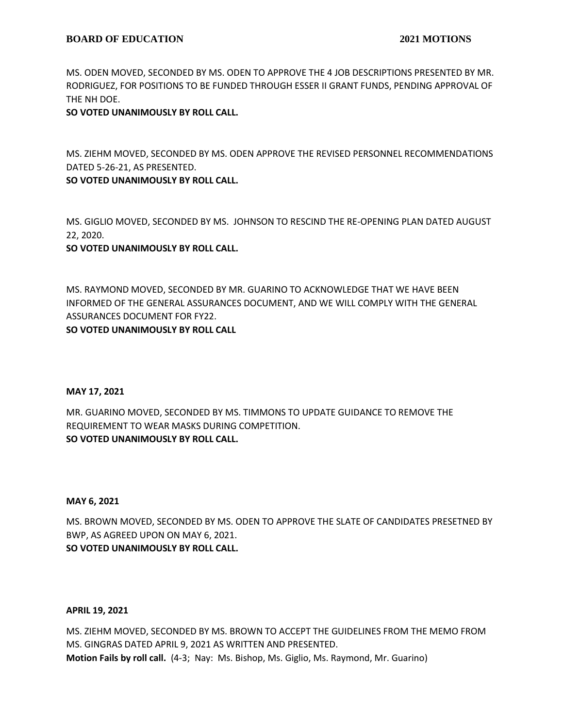MS. ODEN MOVED, SECONDED BY MS. ODEN TO APPROVE THE 4 JOB DESCRIPTIONS PRESENTED BY MR. RODRIGUEZ, FOR POSITIONS TO BE FUNDED THROUGH ESSER II GRANT FUNDS, PENDING APPROVAL OF THE NH DOE.

**SO VOTED UNANIMOUSLY BY ROLL CALL.**

MS. ZIEHM MOVED, SECONDED BY MS. ODEN APPROVE THE REVISED PERSONNEL RECOMMENDATIONS DATED 5-26-21, AS PRESENTED.

**SO VOTED UNANIMOUSLY BY ROLL CALL.**

MS. GIGLIO MOVED, SECONDED BY MS. JOHNSON TO RESCIND THE RE-OPENING PLAN DATED AUGUST 22, 2020.

**SO VOTED UNANIMOUSLY BY ROLL CALL.**

MS. RAYMOND MOVED, SECONDED BY MR. GUARINO TO ACKNOWLEDGE THAT WE HAVE BEEN INFORMED OF THE GENERAL ASSURANCES DOCUMENT, AND WE WILL COMPLY WITH THE GENERAL ASSURANCES DOCUMENT FOR FY22.

**SO VOTED UNANIMOUSLY BY ROLL CALL**

### **MAY 17, 2021**

MR. GUARINO MOVED, SECONDED BY MS. TIMMONS TO UPDATE GUIDANCE TO REMOVE THE REQUIREMENT TO WEAR MASKS DURING COMPETITION. **SO VOTED UNANIMOUSLY BY ROLL CALL.**

### **MAY 6, 2021**

MS. BROWN MOVED, SECONDED BY MS. ODEN TO APPROVE THE SLATE OF CANDIDATES PRESETNED BY BWP, AS AGREED UPON ON MAY 6, 2021. **SO VOTED UNANIMOUSLY BY ROLL CALL.**

### **APRIL 19, 2021**

MS. ZIEHM MOVED, SECONDED BY MS. BROWN TO ACCEPT THE GUIDELINES FROM THE MEMO FROM MS. GINGRAS DATED APRIL 9, 2021 AS WRITTEN AND PRESENTED. **Motion Fails by roll call.** (4-3; Nay: Ms. Bishop, Ms. Giglio, Ms. Raymond, Mr. Guarino)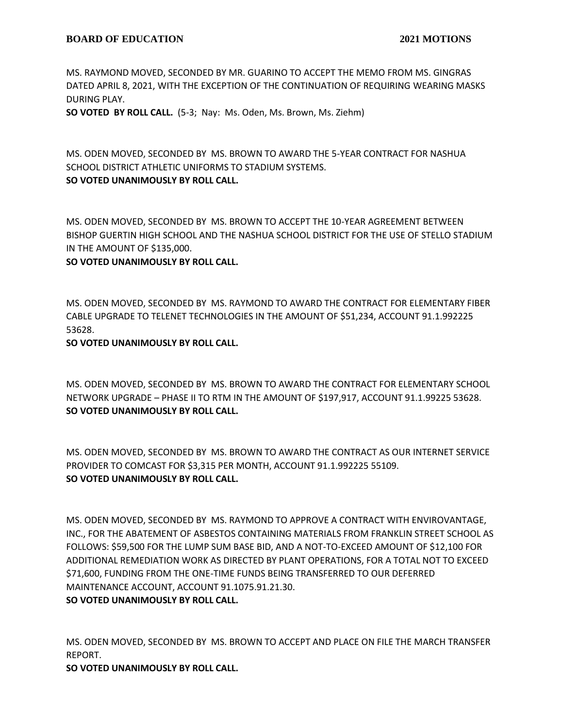MS. RAYMOND MOVED, SECONDED BY MR. GUARINO TO ACCEPT THE MEMO FROM MS. GINGRAS DATED APRIL 8, 2021, WITH THE EXCEPTION OF THE CONTINUATION OF REQUIRING WEARING MASKS DURING PLAY.

**SO VOTED BY ROLL CALL.** (5-3; Nay: Ms. Oden, Ms. Brown, Ms. Ziehm)

MS. ODEN MOVED, SECONDED BY MS. BROWN TO AWARD THE 5-YEAR CONTRACT FOR NASHUA SCHOOL DISTRICT ATHLETIC UNIFORMS TO STADIUM SYSTEMS. **SO VOTED UNANIMOUSLY BY ROLL CALL.**

MS. ODEN MOVED, SECONDED BY MS. BROWN TO ACCEPT THE 10-YEAR AGREEMENT BETWEEN BISHOP GUERTIN HIGH SCHOOL AND THE NASHUA SCHOOL DISTRICT FOR THE USE OF STELLO STADIUM IN THE AMOUNT OF \$135,000.

**SO VOTED UNANIMOUSLY BY ROLL CALL.**

MS. ODEN MOVED, SECONDED BY MS. RAYMOND TO AWARD THE CONTRACT FOR ELEMENTARY FIBER CABLE UPGRADE TO TELENET TECHNOLOGIES IN THE AMOUNT OF \$51,234, ACCOUNT 91.1.992225 53628.

**SO VOTED UNANIMOUSLY BY ROLL CALL.**

MS. ODEN MOVED, SECONDED BY MS. BROWN TO AWARD THE CONTRACT FOR ELEMENTARY SCHOOL NETWORK UPGRADE – PHASE II TO RTM IN THE AMOUNT OF \$197,917, ACCOUNT 91.1.99225 53628. **SO VOTED UNANIMOUSLY BY ROLL CALL.**

MS. ODEN MOVED, SECONDED BY MS. BROWN TO AWARD THE CONTRACT AS OUR INTERNET SERVICE PROVIDER TO COMCAST FOR \$3,315 PER MONTH, ACCOUNT 91.1.992225 55109. **SO VOTED UNANIMOUSLY BY ROLL CALL.**

MS. ODEN MOVED, SECONDED BY MS. RAYMOND TO APPROVE A CONTRACT WITH ENVIROVANTAGE, INC., FOR THE ABATEMENT OF ASBESTOS CONTAINING MATERIALS FROM FRANKLIN STREET SCHOOL AS FOLLOWS: \$59,500 FOR THE LUMP SUM BASE BID, AND A NOT-TO-EXCEED AMOUNT OF \$12,100 FOR ADDITIONAL REMEDIATION WORK AS DIRECTED BY PLANT OPERATIONS, FOR A TOTAL NOT TO EXCEED \$71,600, FUNDING FROM THE ONE-TIME FUNDS BEING TRANSFERRED TO OUR DEFERRED MAINTENANCE ACCOUNT, ACCOUNT 91.1075.91.21.30.

**SO VOTED UNANIMOUSLY BY ROLL CALL.**

MS. ODEN MOVED, SECONDED BY MS. BROWN TO ACCEPT AND PLACE ON FILE THE MARCH TRANSFER REPORT.

**SO VOTED UNANIMOUSLY BY ROLL CALL.**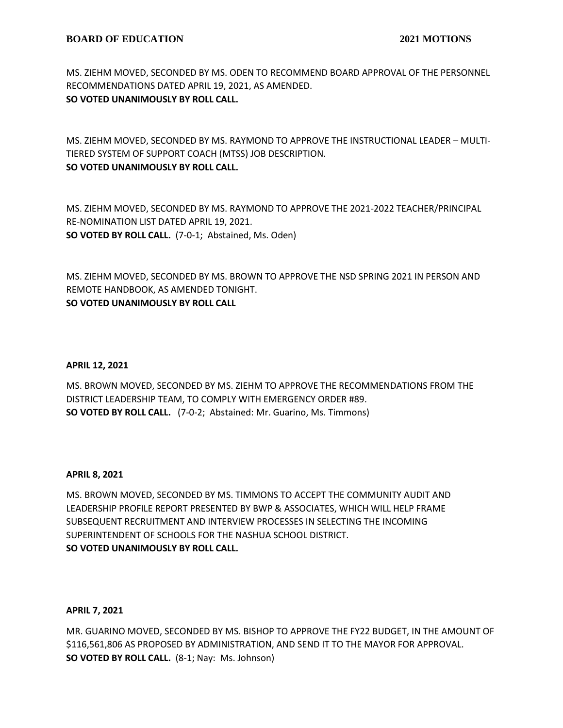MS. ZIEHM MOVED, SECONDED BY MS. ODEN TO RECOMMEND BOARD APPROVAL OF THE PERSONNEL RECOMMENDATIONS DATED APRIL 19, 2021, AS AMENDED. **SO VOTED UNANIMOUSLY BY ROLL CALL.**

MS. ZIEHM MOVED, SECONDED BY MS. RAYMOND TO APPROVE THE INSTRUCTIONAL LEADER – MULTI-TIERED SYSTEM OF SUPPORT COACH (MTSS) JOB DESCRIPTION. **SO VOTED UNANIMOUSLY BY ROLL CALL.**

MS. ZIEHM MOVED, SECONDED BY MS. RAYMOND TO APPROVE THE 2021-2022 TEACHER/PRINCIPAL RE-NOMINATION LIST DATED APRIL 19, 2021. **SO VOTED BY ROLL CALL.** (7-0-1; Abstained, Ms. Oden)

MS. ZIEHM MOVED, SECONDED BY MS. BROWN TO APPROVE THE NSD SPRING 2021 IN PERSON AND REMOTE HANDBOOK, AS AMENDED TONIGHT. **SO VOTED UNANIMOUSLY BY ROLL CALL**

### **APRIL 12, 2021**

MS. BROWN MOVED, SECONDED BY MS. ZIEHM TO APPROVE THE RECOMMENDATIONS FROM THE DISTRICT LEADERSHIP TEAM, TO COMPLY WITH EMERGENCY ORDER #89. **SO VOTED BY ROLL CALL.** (7-0-2; Abstained: Mr. Guarino, Ms. Timmons)

### **APRIL 8, 2021**

MS. BROWN MOVED, SECONDED BY MS. TIMMONS TO ACCEPT THE COMMUNITY AUDIT AND LEADERSHIP PROFILE REPORT PRESENTED BY BWP & ASSOCIATES, WHICH WILL HELP FRAME SUBSEQUENT RECRUITMENT AND INTERVIEW PROCESSES IN SELECTING THE INCOMING SUPERINTENDENT OF SCHOOLS FOR THE NASHUA SCHOOL DISTRICT. **SO VOTED UNANIMOUSLY BY ROLL CALL.**

#### **APRIL 7, 2021**

MR. GUARINO MOVED, SECONDED BY MS. BISHOP TO APPROVE THE FY22 BUDGET, IN THE AMOUNT OF \$116,561,806 AS PROPOSED BY ADMINISTRATION, AND SEND IT TO THE MAYOR FOR APPROVAL. **SO VOTED BY ROLL CALL.** (8-1; Nay: Ms. Johnson)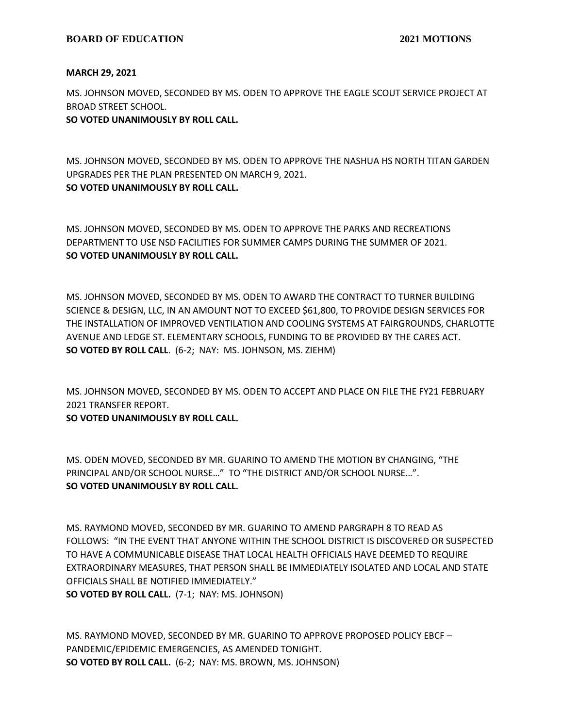## **MARCH 29, 2021**

MS. JOHNSON MOVED, SECONDED BY MS. ODEN TO APPROVE THE EAGLE SCOUT SERVICE PROJECT AT BROAD STREET SCHOOL.

# **SO VOTED UNANIMOUSLY BY ROLL CALL.**

MS. JOHNSON MOVED, SECONDED BY MS. ODEN TO APPROVE THE NASHUA HS NORTH TITAN GARDEN UPGRADES PER THE PLAN PRESENTED ON MARCH 9, 2021. **SO VOTED UNANIMOUSLY BY ROLL CALL.**

MS. JOHNSON MOVED, SECONDED BY MS. ODEN TO APPROVE THE PARKS AND RECREATIONS DEPARTMENT TO USE NSD FACILITIES FOR SUMMER CAMPS DURING THE SUMMER OF 2021. **SO VOTED UNANIMOUSLY BY ROLL CALL.**

MS. JOHNSON MOVED, SECONDED BY MS. ODEN TO AWARD THE CONTRACT TO TURNER BUILDING SCIENCE & DESIGN, LLC, IN AN AMOUNT NOT TO EXCEED \$61,800, TO PROVIDE DESIGN SERVICES FOR THE INSTALLATION OF IMPROVED VENTILATION AND COOLING SYSTEMS AT FAIRGROUNDS, CHARLOTTE AVENUE AND LEDGE ST. ELEMENTARY SCHOOLS, FUNDING TO BE PROVIDED BY THE CARES ACT. **SO VOTED BY ROLL CALL**. (6-2; NAY: MS. JOHNSON, MS. ZIEHM)

MS. JOHNSON MOVED, SECONDED BY MS. ODEN TO ACCEPT AND PLACE ON FILE THE FY21 FEBRUARY 2021 TRANSFER REPORT.

**SO VOTED UNANIMOUSLY BY ROLL CALL.**

MS. ODEN MOVED, SECONDED BY MR. GUARINO TO AMEND THE MOTION BY CHANGING, "THE PRINCIPAL AND/OR SCHOOL NURSE…" TO "THE DISTRICT AND/OR SCHOOL NURSE…". **SO VOTED UNANIMOUSLY BY ROLL CALL.**

MS. RAYMOND MOVED, SECONDED BY MR. GUARINO TO AMEND PARGRAPH 8 TO READ AS FOLLOWS: "IN THE EVENT THAT ANYONE WITHIN THE SCHOOL DISTRICT IS DISCOVERED OR SUSPECTED TO HAVE A COMMUNICABLE DISEASE THAT LOCAL HEALTH OFFICIALS HAVE DEEMED TO REQUIRE EXTRAORDINARY MEASURES, THAT PERSON SHALL BE IMMEDIATELY ISOLATED AND LOCAL AND STATE OFFICIALS SHALL BE NOTIFIED IMMEDIATELY." **SO VOTED BY ROLL CALL.** (7-1; NAY: MS. JOHNSON)

MS. RAYMOND MOVED, SECONDED BY MR. GUARINO TO APPROVE PROPOSED POLICY EBCF – PANDEMIC/EPIDEMIC EMERGENCIES, AS AMENDED TONIGHT. **SO VOTED BY ROLL CALL.** (6-2; NAY: MS. BROWN, MS. JOHNSON)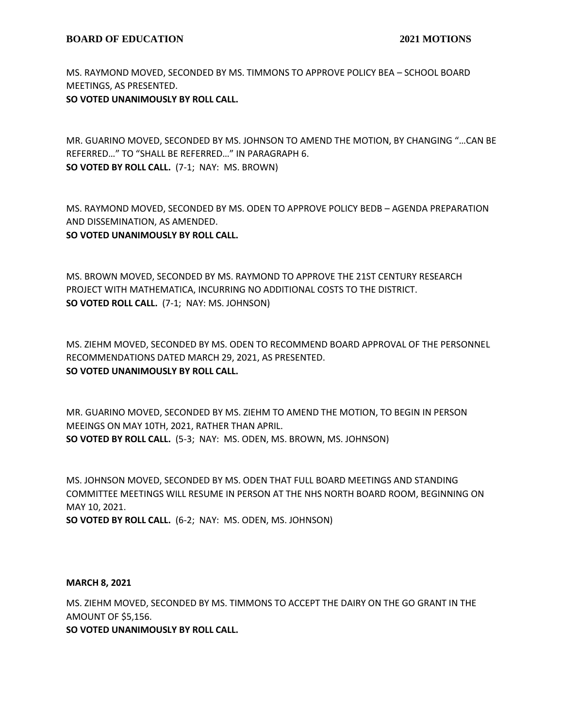MS. RAYMOND MOVED, SECONDED BY MS. TIMMONS TO APPROVE POLICY BEA – SCHOOL BOARD MEETINGS, AS PRESENTED.

# **SO VOTED UNANIMOUSLY BY ROLL CALL.**

MR. GUARINO MOVED, SECONDED BY MS. JOHNSON TO AMEND THE MOTION, BY CHANGING "…CAN BE REFERRED…" TO "SHALL BE REFERRED…" IN PARAGRAPH 6. **SO VOTED BY ROLL CALL.** (7-1; NAY: MS. BROWN)

MS. RAYMOND MOVED, SECONDED BY MS. ODEN TO APPROVE POLICY BEDB – AGENDA PREPARATION AND DISSEMINATION, AS AMENDED.

**SO VOTED UNANIMOUSLY BY ROLL CALL.**

MS. BROWN MOVED, SECONDED BY MS. RAYMOND TO APPROVE THE 21ST CENTURY RESEARCH PROJECT WITH MATHEMATICA, INCURRING NO ADDITIONAL COSTS TO THE DISTRICT. **SO VOTED ROLL CALL.** (7-1; NAY: MS. JOHNSON)

MS. ZIEHM MOVED, SECONDED BY MS. ODEN TO RECOMMEND BOARD APPROVAL OF THE PERSONNEL RECOMMENDATIONS DATED MARCH 29, 2021, AS PRESENTED. **SO VOTED UNANIMOUSLY BY ROLL CALL.**

MR. GUARINO MOVED, SECONDED BY MS. ZIEHM TO AMEND THE MOTION, TO BEGIN IN PERSON MEEINGS ON MAY 10TH, 2021, RATHER THAN APRIL. **SO VOTED BY ROLL CALL.** (5-3; NAY: MS. ODEN, MS. BROWN, MS. JOHNSON)

MS. JOHNSON MOVED, SECONDED BY MS. ODEN THAT FULL BOARD MEETINGS AND STANDING COMMITTEE MEETINGS WILL RESUME IN PERSON AT THE NHS NORTH BOARD ROOM, BEGINNING ON MAY 10, 2021.

**SO VOTED BY ROLL CALL.** (6-2; NAY: MS. ODEN, MS. JOHNSON)

### **MARCH 8, 2021**

MS. ZIEHM MOVED, SECONDED BY MS. TIMMONS TO ACCEPT THE DAIRY ON THE GO GRANT IN THE AMOUNT OF \$5,156.

**SO VOTED UNANIMOUSLY BY ROLL CALL.**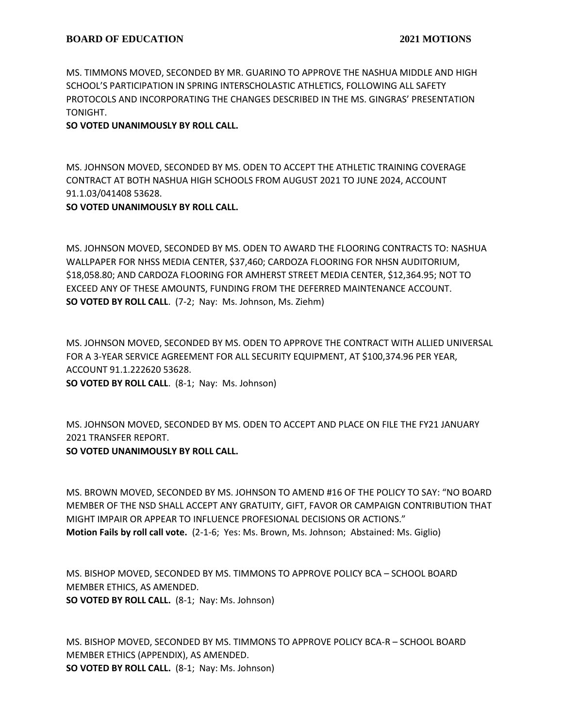MS. TIMMONS MOVED, SECONDED BY MR. GUARINO TO APPROVE THE NASHUA MIDDLE AND HIGH SCHOOL'S PARTICIPATION IN SPRING INTERSCHOLASTIC ATHLETICS, FOLLOWING ALL SAFETY PROTOCOLS AND INCORPORATING THE CHANGES DESCRIBED IN THE MS. GINGRAS' PRESENTATION TONIGHT.

# **SO VOTED UNANIMOUSLY BY ROLL CALL.**

MS. JOHNSON MOVED, SECONDED BY MS. ODEN TO ACCEPT THE ATHLETIC TRAINING COVERAGE CONTRACT AT BOTH NASHUA HIGH SCHOOLS FROM AUGUST 2021 TO JUNE 2024, ACCOUNT 91.1.03/041408 53628.

# **SO VOTED UNANIMOUSLY BY ROLL CALL.**

MS. JOHNSON MOVED, SECONDED BY MS. ODEN TO AWARD THE FLOORING CONTRACTS TO: NASHUA WALLPAPER FOR NHSS MEDIA CENTER, \$37,460; CARDOZA FLOORING FOR NHSN AUDITORIUM, \$18,058.80; AND CARDOZA FLOORING FOR AMHERST STREET MEDIA CENTER, \$12,364.95; NOT TO EXCEED ANY OF THESE AMOUNTS, FUNDING FROM THE DEFERRED MAINTENANCE ACCOUNT. **SO VOTED BY ROLL CALL**. (7-2; Nay: Ms. Johnson, Ms. Ziehm)

MS. JOHNSON MOVED, SECONDED BY MS. ODEN TO APPROVE THE CONTRACT WITH ALLIED UNIVERSAL FOR A 3-YEAR SERVICE AGREEMENT FOR ALL SECURITY EQUIPMENT, AT \$100,374.96 PER YEAR, ACCOUNT 91.1.222620 53628. **SO VOTED BY ROLL CALL**. (8-1; Nay: Ms. Johnson)

MS. JOHNSON MOVED, SECONDED BY MS. ODEN TO ACCEPT AND PLACE ON FILE THE FY21 JANUARY 2021 TRANSFER REPORT. **SO VOTED UNANIMOUSLY BY ROLL CALL.**

MS. BROWN MOVED, SECONDED BY MS. JOHNSON TO AMEND #16 OF THE POLICY TO SAY: "NO BOARD MEMBER OF THE NSD SHALL ACCEPT ANY GRATUITY, GIFT, FAVOR OR CAMPAIGN CONTRIBUTION THAT MIGHT IMPAIR OR APPEAR TO INFLUENCE PROFESIONAL DECISIONS OR ACTIONS." **Motion Fails by roll call vote.** (2-1-6; Yes: Ms. Brown, Ms. Johnson; Abstained: Ms. Giglio)

MS. BISHOP MOVED, SECONDED BY MS. TIMMONS TO APPROVE POLICY BCA – SCHOOL BOARD MEMBER ETHICS, AS AMENDED. **SO VOTED BY ROLL CALL.** (8-1; Nay: Ms. Johnson)

MS. BISHOP MOVED, SECONDED BY MS. TIMMONS TO APPROVE POLICY BCA-R – SCHOOL BOARD MEMBER ETHICS (APPENDIX), AS AMENDED. **SO VOTED BY ROLL CALL.** (8-1; Nay: Ms. Johnson)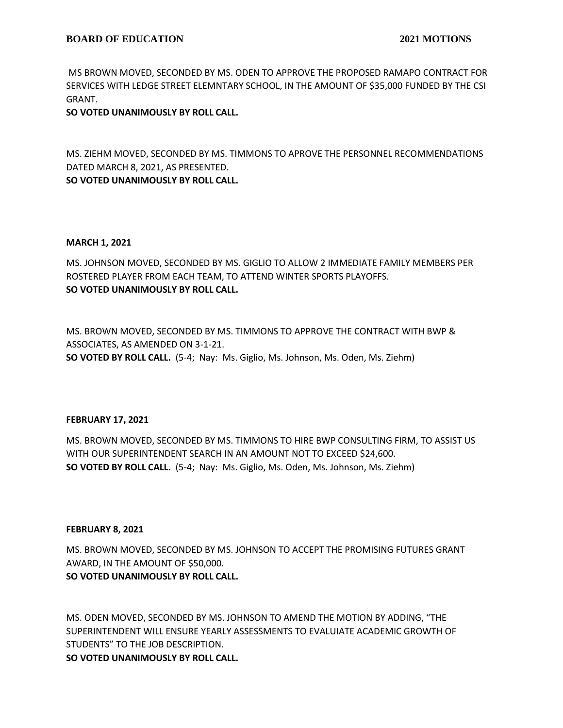MS BROWN MOVED, SECONDED BY MS. ODEN TO APPROVE THE PROPOSED RAMAPO CONTRACT FOR SERVICES WITH LEDGE STREET ELEMNTARY SCHOOL, IN THE AMOUNT OF \$35,000 FUNDED BY THE CSI GRANT.

**SO VOTED UNANIMOUSLY BY ROLL CALL.**

MS. ZIEHM MOVED, SECONDED BY MS. TIMMONS TO APROVE THE PERSONNEL RECOMMENDATIONS DATED MARCH 8, 2021, AS PRESENTED. **SO VOTED UNANIMOUSLY BY ROLL CALL.**

### **MARCH 1, 2021**

MS. JOHNSON MOVED, SECONDED BY MS. GIGLIO TO ALLOW 2 IMMEDIATE FAMILY MEMBERS PER ROSTERED PLAYER FROM EACH TEAM, TO ATTEND WINTER SPORTS PLAYOFFS. **SO VOTED UNANIMOUSLY BY ROLL CALL.**

MS. BROWN MOVED, SECONDED BY MS. TIMMONS TO APPROVE THE CONTRACT WITH BWP & ASSOCIATES, AS AMENDED ON 3-1-21. **SO VOTED BY ROLL CALL.** (5-4; Nay: Ms. Giglio, Ms. Johnson, Ms. Oden, Ms. Ziehm)

### **FEBRUARY 17, 2021**

MS. BROWN MOVED, SECONDED BY MS. TIMMONS TO HIRE BWP CONSULTING FIRM, TO ASSIST US WITH OUR SUPERINTENDENT SEARCH IN AN AMOUNT NOT TO EXCEED \$24,600. **SO VOTED BY ROLL CALL.** (5-4; Nay: Ms. Giglio, Ms. Oden, Ms. Johnson, Ms. Ziehm)

### **FEBRUARY 8, 2021**

MS. BROWN MOVED, SECONDED BY MS. JOHNSON TO ACCEPT THE PROMISING FUTURES GRANT AWARD, IN THE AMOUNT OF \$50,000. **SO VOTED UNANIMOUSLY BY ROLL CALL.**

MS. ODEN MOVED, SECONDED BY MS. JOHNSON TO AMEND THE MOTION BY ADDING, "THE SUPERINTENDENT WILL ENSURE YEARLY ASSESSMENTS TO EVALUIATE ACADEMIC GROWTH OF STUDENTS" TO THE JOB DESCRIPTION.

**SO VOTED UNANIMOUSLY BY ROLL CALL.**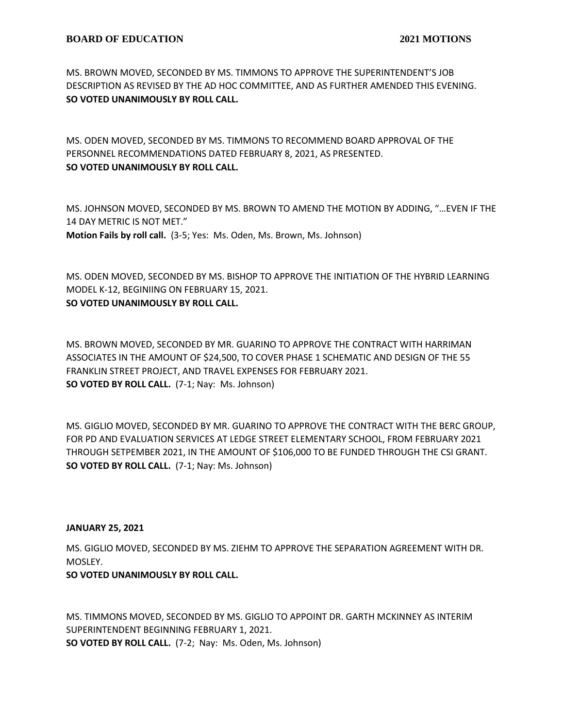MS. BROWN MOVED, SECONDED BY MS. TIMMONS TO APPROVE THE SUPERINTENDENT'S JOB DESCRIPTION AS REVISED BY THE AD HOC COMMITTEE, AND AS FURTHER AMENDED THIS EVENING. **SO VOTED UNANIMOUSLY BY ROLL CALL.**

MS. ODEN MOVED, SECONDED BY MS. TIMMONS TO RECOMMEND BOARD APPROVAL OF THE PERSONNEL RECOMMENDATIONS DATED FEBRUARY 8, 2021, AS PRESENTED. **SO VOTED UNANIMOUSLY BY ROLL CALL.**

MS. JOHNSON MOVED, SECONDED BY MS. BROWN TO AMEND THE MOTION BY ADDING, "…EVEN IF THE 14 DAY METRIC IS NOT MET." **Motion Fails by roll call.** (3-5; Yes: Ms. Oden, Ms. Brown, Ms. Johnson)

MS. ODEN MOVED, SECONDED BY MS. BISHOP TO APPROVE THE INITIATION OF THE HYBRID LEARNING MODEL K-12, BEGINIING ON FEBRUARY 15, 2021. **SO VOTED UNANIMOUSLY BY ROLL CALL.**

MS. BROWN MOVED, SECONDED BY MR. GUARINO TO APPROVE THE CONTRACT WITH HARRIMAN ASSOCIATES IN THE AMOUNT OF \$24,500, TO COVER PHASE 1 SCHEMATIC AND DESIGN OF THE 55 FRANKLIN STREET PROJECT, AND TRAVEL EXPENSES FOR FEBRUARY 2021. **SO VOTED BY ROLL CALL.** (7-1; Nay: Ms. Johnson)

MS. GIGLIO MOVED, SECONDED BY MR. GUARINO TO APPROVE THE CONTRACT WITH THE BERC GROUP, FOR PD AND EVALUATION SERVICES AT LEDGE STREET ELEMENTARY SCHOOL, FROM FEBRUARY 2021 THROUGH SETPEMBER 2021, IN THE AMOUNT OF \$106,000 TO BE FUNDED THROUGH THE CSI GRANT. **SO VOTED BY ROLL CALL.** (7-1; Nay: Ms. Johnson)

# **JANUARY 25, 2021**

MS. GIGLIO MOVED, SECONDED BY MS. ZIEHM TO APPROVE THE SEPARATION AGREEMENT WITH DR. MOSLEY.

# **SO VOTED UNANIMOUSLY BY ROLL CALL.**

MS. TIMMONS MOVED, SECONDED BY MS. GIGLIO TO APPOINT DR. GARTH MCKINNEY AS INTERIM SUPERINTENDENT BEGINNING FEBRUARY 1, 2021. **SO VOTED BY ROLL CALL.** (7-2; Nay: Ms. Oden, Ms. Johnson)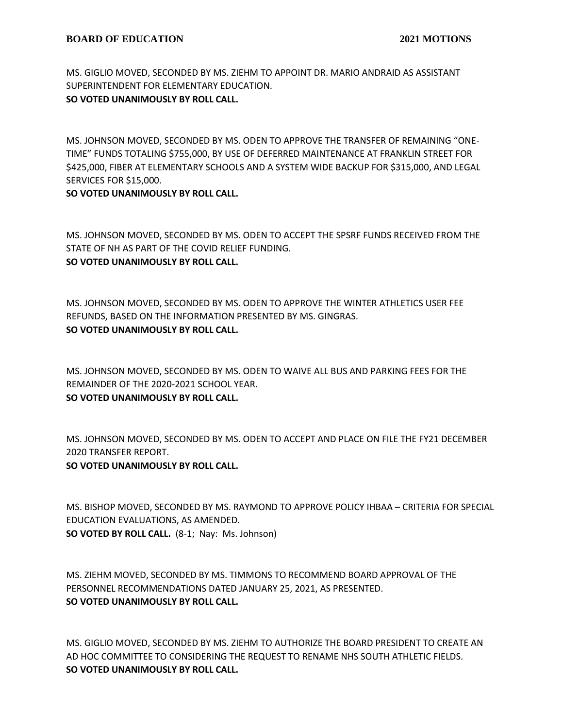MS. GIGLIO MOVED, SECONDED BY MS. ZIEHM TO APPOINT DR. MARIO ANDRAID AS ASSISTANT SUPERINTENDENT FOR ELEMENTARY EDUCATION. **SO VOTED UNANIMOUSLY BY ROLL CALL.**

MS. JOHNSON MOVED, SECONDED BY MS. ODEN TO APPROVE THE TRANSFER OF REMAINING "ONE-TIME" FUNDS TOTALING \$755,000, BY USE OF DEFERRED MAINTENANCE AT FRANKLIN STREET FOR \$425,000, FIBER AT ELEMENTARY SCHOOLS AND A SYSTEM WIDE BACKUP FOR \$315,000, AND LEGAL SERVICES FOR \$15,000.

# **SO VOTED UNANIMOUSLY BY ROLL CALL.**

MS. JOHNSON MOVED, SECONDED BY MS. ODEN TO ACCEPT THE SPSRF FUNDS RECEIVED FROM THE STATE OF NH AS PART OF THE COVID RELIEF FUNDING. **SO VOTED UNANIMOUSLY BY ROLL CALL.**

MS. JOHNSON MOVED, SECONDED BY MS. ODEN TO APPROVE THE WINTER ATHLETICS USER FEE REFUNDS, BASED ON THE INFORMATION PRESENTED BY MS. GINGRAS. **SO VOTED UNANIMOUSLY BY ROLL CALL.**

MS. JOHNSON MOVED, SECONDED BY MS. ODEN TO WAIVE ALL BUS AND PARKING FEES FOR THE REMAINDER OF THE 2020-2021 SCHOOL YEAR. **SO VOTED UNANIMOUSLY BY ROLL CALL.**

MS. JOHNSON MOVED, SECONDED BY MS. ODEN TO ACCEPT AND PLACE ON FILE THE FY21 DECEMBER 2020 TRANSFER REPORT.

# **SO VOTED UNANIMOUSLY BY ROLL CALL.**

MS. BISHOP MOVED, SECONDED BY MS. RAYMOND TO APPROVE POLICY IHBAA – CRITERIA FOR SPECIAL EDUCATION EVALUATIONS, AS AMENDED. **SO VOTED BY ROLL CALL.** (8-1; Nay: Ms. Johnson)

MS. ZIEHM MOVED, SECONDED BY MS. TIMMONS TO RECOMMEND BOARD APPROVAL OF THE PERSONNEL RECOMMENDATIONS DATED JANUARY 25, 2021, AS PRESENTED. **SO VOTED UNANIMOUSLY BY ROLL CALL.**

MS. GIGLIO MOVED, SECONDED BY MS. ZIEHM TO AUTHORIZE THE BOARD PRESIDENT TO CREATE AN AD HOC COMMITTEE TO CONSIDERING THE REQUEST TO RENAME NHS SOUTH ATHLETIC FIELDS. **SO VOTED UNANIMOUSLY BY ROLL CALL.**